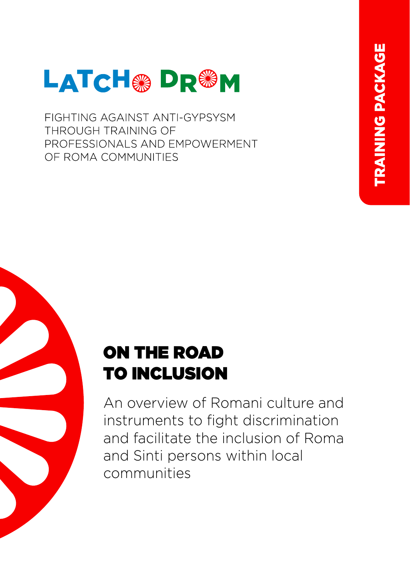

FIGHTING AGAINST ANTI-GYPSYSM THROUGH TRAINING OF PROFESSIONALS AND EMPOWERMENT OF ROMA COMMUNITIES

# ON THE ROAD TO INCLUSION

An overview of Romani culture and instruments to fight discrimination and facilitate the inclusion of Roma and Sinti persons within local communities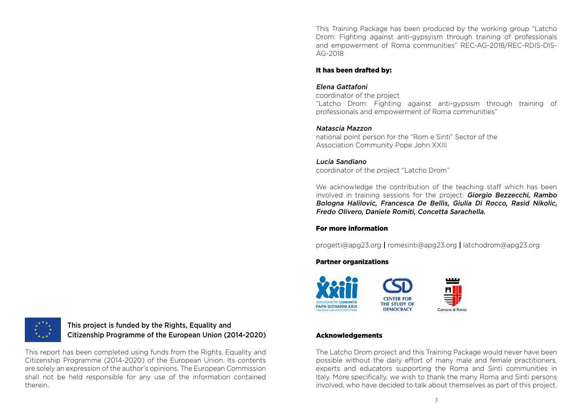This Training Package has been produced by the working group "Latcho Drom: Fighting against anti-gypsyism through training of professionals and empowerment of Roma communities" REC-AG-2018/REC-RDIS-DIS-AG-2018

#### It has been drafted by:

#### Elena Gattafoni

coordinator of the project

"Latcho Drom: Fighting against anti-gypsism through training of professionals and empowerment of Roma communities"

## Natascia Mazzon

national point person for the "Rom e Sinti" Sector of the Association Community Pope John XXIII

## Lucia Sandiano

coordinator of the project "Latcho Drom"

We acknowledge the contribution of the teaching staff which has been involved in training sessions for the project: Giorgio Bezzecchi, Rambo Bologna Halilovic, Francesca De Bellis, Giulia Di Rocco, Rasid Nikolic, Fredo Olivero, Daniele Romiti, Concetta Sarachella.

## For more information

progetti@apg23.org **|** romesinti@apg23.org **|** latchodrom@apg23.org

## Partner organizations



## Acknowledgements

The Latcho Drom project and this Training Package would never have been possible without the daily effort of many male and female practitioners, experts and educators supporting the Roma and Sinti communities in Italy. More specifically, we wish to thank the many Roma and Sinti persons involved, who have decided to talk about themselves as part of this project.



This project is funded by the Rights, Equality and Citizenship Programme of the European Union (2014-2020)

This report has been completed using funds from the Rights, Equality and Citizenship Programme (2014-2020) of the European Union. Its contents are solely an expression of the author's opinions. The European Commission shall not be held responsible for any use of the information contained therein.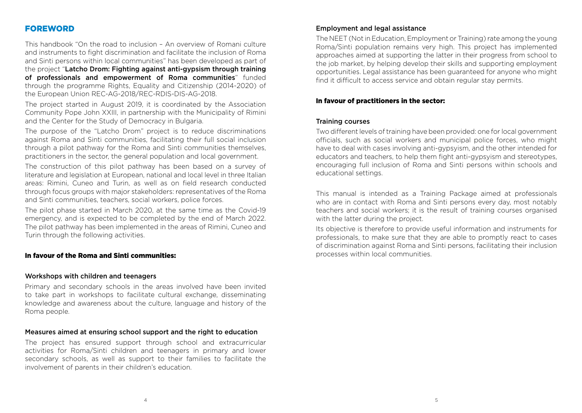## FOREWORD

This handbook "On the road to inclusion – An overview of Romani culture and instruments to fight discrimination and facilitate the inclusion of Roma and Sinti persons within local communities" has been developed as part of the project "Latcho Drom: Fighting against anti-gypsism through training of professionals and empowerment of Roma communities" funded through the programme Rights, Equality and Citizenship (2014-2020) of the European Union REC-AG-2018/REC-RDIS-DIS-AG-2018.

The project started in August 2019, it is coordinated by the Association Community Pope John XXIII, in partnership with the Municipality of Rimini and the Center for the Study of Democracy in Bulgaria.

The purpose of the "Latcho Drom" project is to reduce discriminations against Roma and Sinti communities, facilitating their full social inclusion through a pilot pathway for the Roma and Sinti communities themselves, practitioners in the sector, the general population and local government.

The construction of this pilot pathway has been based on a survey of literature and legislation at European, national and local level in three Italian areas: Rimini, Cuneo and Turin, as well as on field research conducted through focus groups with major stakeholders: representatives of the Roma and Sinti communities, teachers, social workers, police forces.

The pilot phase started in March 2020, at the same time as the Covid-19 emergency, and is expected to be completed by the end of March 2022. The pilot pathway has been implemented in the areas of Rimini, Cuneo and Turin through the following activities.

#### In favour of the Roma and Sinti communities:

#### Workshops with children and teenagers

Primary and secondary schools in the areas involved have been invited to take part in workshops to facilitate cultural exchange, disseminating knowledge and awareness about the culture, language and history of the Roma people.

#### Measures aimed at ensuring school support and the right to education

The project has ensured support through school and extracurricular activities for Roma/Sinti children and teenagers in primary and lower secondary schools, as well as support to their families to facilitate the involvement of parents in their children's education.

#### Employment and legal assistance

The NEET (Not in Education, Employment or Training) rate among the young Roma/Sinti population remains very high. This project has implemented approaches aimed at supporting the latter in their progress from school to the job market, by helping develop their skills and supporting employment opportunities. Legal assistance has been guaranteed for anyone who might find it difficult to access service and obtain regular stay permits.

#### In favour of practitioners in the sector:

#### Training courses

Two different levels of training have been provided: one for local government officials, such as social workers and municipal police forces, who might have to deal with cases involving anti-gypsyism, and the other intended for educators and teachers, to help them fight anti-gypsyism and stereotypes, encouraging full inclusion of Roma and Sinti persons within schools and educational settings.

This manual is intended as a Training Package aimed at professionals who are in contact with Roma and Sinti persons every day, most notably teachers and social workers; it is the result of training courses organised with the latter during the project.

Its objective is therefore to provide useful information and instruments for professionals, to make sure that they are able to promptly react to cases of discrimination against Roma and Sinti persons, facilitating their inclusion processes within local communities.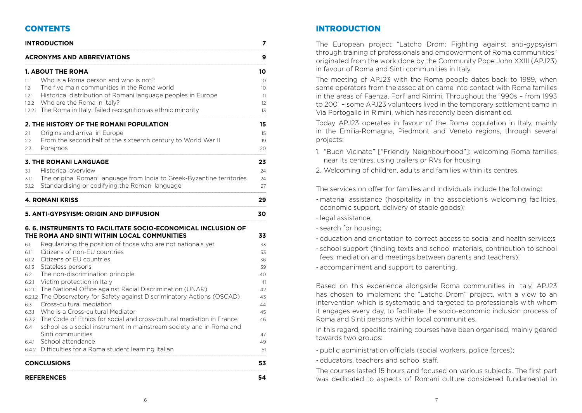## **CONTENTS**

|                                                                                         | <b>INTRODUCTION</b>                                                                                                                                                                                                                                                                                                                                                                                                                                                                                                                                                                                                                                                                                                                                                                                 | 7                                                                                      |
|-----------------------------------------------------------------------------------------|-----------------------------------------------------------------------------------------------------------------------------------------------------------------------------------------------------------------------------------------------------------------------------------------------------------------------------------------------------------------------------------------------------------------------------------------------------------------------------------------------------------------------------------------------------------------------------------------------------------------------------------------------------------------------------------------------------------------------------------------------------------------------------------------------------|----------------------------------------------------------------------------------------|
|                                                                                         | <b>ACRONYMS AND ABBREVIATIONS</b>                                                                                                                                                                                                                                                                                                                                                                                                                                                                                                                                                                                                                                                                                                                                                                   | 9                                                                                      |
| 1.1<br>1.2<br>1.2.1<br>1.2.2                                                            | <b>1. ABOUT THE ROMA</b><br>Who is a Roma person and who is not?<br>The five main communities in the Roma world<br>Historical distribution of Romani language peoples in Europe<br>Who are the Roma in Italy?<br>1.2.2.1 The Roma in Italy: failed recognition as ethnic minority                                                                                                                                                                                                                                                                                                                                                                                                                                                                                                                   | 10<br>10 <sup>°</sup><br>10 <sup>°</sup><br>11<br>$12 \overline{ }$<br>13              |
| 2.1<br>2.2<br>2.3                                                                       | 2. THE HISTORY OF THE ROMANI POPULATION<br>Origins and arrival in Europe<br>From the second half of the sixteenth century to World War II<br>Poraimos                                                                                                                                                                                                                                                                                                                                                                                                                                                                                                                                                                                                                                               | 15<br>15<br>19<br>20                                                                   |
| 3.1<br>3.1.1<br>3.1.2                                                                   | <b>3. THE ROMANI LANGUAGE</b><br>Historical overview<br>The original Romani language from India to Greek-Byzantine territories<br>Standardising or codifying the Romani language                                                                                                                                                                                                                                                                                                                                                                                                                                                                                                                                                                                                                    | 23<br>24<br>24<br>27                                                                   |
|                                                                                         | <b>4. ROMANI KRISS</b>                                                                                                                                                                                                                                                                                                                                                                                                                                                                                                                                                                                                                                                                                                                                                                              | 29                                                                                     |
|                                                                                         | 5. ANTI-GYPSYISM: ORIGIN AND DIFFUSION                                                                                                                                                                                                                                                                                                                                                                                                                                                                                                                                                                                                                                                                                                                                                              | 30                                                                                     |
| 6.1<br>6.1.1<br>6.1.2<br>6.1.3<br>6.2<br>6.2.1<br>6.3<br>6.3.1<br>6.3.2<br>6.4<br>6.4.1 | 6. 6. INSTRUMENTS TO FACILITATE SOCIO-ECONOMICAL INCLUSION OF<br>THE ROMA AND SINTI WITHIN LOCAL COMMUNITIES<br>Regularizing the position of those who are not nationals yet<br>Citizens of non-EU countries<br>Citizens of EU countries<br>Stateless persons<br>The non-discrimination principle<br>Victim protection in Italy<br>6.2.1.1 The National Office against Racial Discrimination (UNAR)<br>6.2.1.2 The Observatory for Safety against Discriminatory Actions (OSCAD)<br>Cross-cultural mediation<br>Who is a Cross-cultural Mediator<br>The Code of Ethics for social and cross-cultural mediation in France<br>school as a social instrument in mainstream society and in Roma and<br>Sinti communities<br>School attendance<br>6.4.2 Difficulties for a Roma student learning Italian | 33<br>33<br>33<br>36<br>39<br>40<br>41<br>42<br>43<br>44<br>45<br>46<br>47<br>49<br>51 |
|                                                                                         | <b>CONCLUSIONS</b>                                                                                                                                                                                                                                                                                                                                                                                                                                                                                                                                                                                                                                                                                                                                                                                  | 53                                                                                     |
|                                                                                         | <b>REFERENCES</b>                                                                                                                                                                                                                                                                                                                                                                                                                                                                                                                                                                                                                                                                                                                                                                                   | 54                                                                                     |

## INTRODUCTION

The European project "Latcho Drom: Fighting against anti-gypsyism through training of professionals and empowerment of Roma communities" originated from the work done by the Community Pope John XXIII (APJ23) in favour of Roma and Sinti communities in Italy.

The meeting of APJ23 with the Roma people dates back to 1989, when some operators from the association came into contact with Roma families in the areas of Faenza, Forlì and Rimini. Throughout the 1990s – from 1993 to 2001 – some APJ23 volunteers lived in the temporary settlement camp in Via Portogallo in Rimini, which has recently been dismantled.

Today APJ23 operates in favour of the Roma population in Italy, mainly in the Emilia-Romagna, Piedmont and Veneto regions, through several projects:

1. "Buon Vicinato" ["Friendly Neighbourhood"]: welcoming Roma families near its centres, using trailers or RVs for housing;

2. Welcoming of children, adults and families within its centres.

The services on offer for families and individuals include the following:

- material assistance (hospitality in the association's welcoming facilities, economic support, delivery of staple goods);
- legal assistance;
- search for housing;
- education and orientation to correct access to social and health service;s
- school support (finding texts and school materials, contribution to school fees, mediation and meetings between parents and teachers);

- accompaniment and support to parenting.

Based on this experience alongside Roma communities in Italy, APJ23 has chosen to implement the "Latcho Drom" project, with a view to an intervention which is systematic and targeted to professionals with whom it engages every day, to facilitate the socio-economic inclusion process of Roma and Sinti persons within local communities.

In this regard, specific training courses have been organised, mainly geared towards two groups:

- public administration officials (social workers, police forces);

- educators, teachers and school staff.

The courses lasted 15 hours and focused on various subjects. The first part was dedicated to aspects of Romani culture considered fundamental to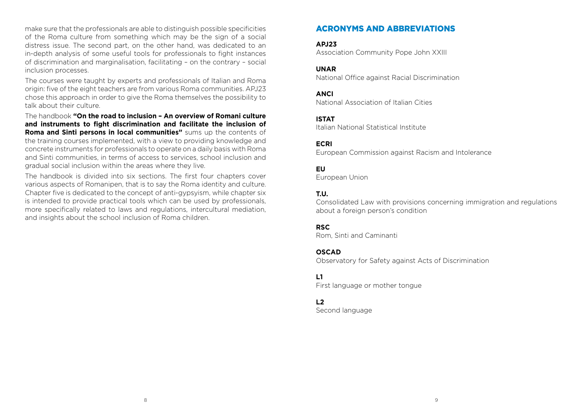make sure that the professionals are able to distinguish possible specificities of the Roma culture from something which may be the sign of a social distress issue. The second part, on the other hand, was dedicated to an in-depth analysis of some useful tools for professionals to fight instances of discrimination and marginalisation, facilitating – on the contrary – social inclusion processes.

The courses were taught by experts and professionals of Italian and Roma origin: five of the eight teachers are from various Roma communities. APJ23 chose this approach in order to give the Roma themselves the possibility to talk about their culture.

The handbook **"On the road to inclusion – An overview of Romani culture and instruments to fight discrimination and facilitate the inclusion of Roma and Sinti persons in local communities"** sums up the contents of the training courses implemented, with a view to providing knowledge and concrete instruments for professionals to operate on a daily basis with Roma and Sinti communities, in terms of access to services, school inclusion and gradual social inclusion within the areas where they live.

The handbook is divided into six sections. The first four chapters cover various aspects of Romanipen, that is to say the Roma identity and culture. Chapter five is dedicated to the concept of anti-gypsyism, while chapter six is intended to provide practical tools which can be used by professionals, more specifically related to laws and regulations, intercultural mediation, and insights about the school inclusion of Roma children.

## ACRONYMS AND ABBREVIATIONS

**APJ23** Association Community Pope John XXIII

## **UNAR**

National Office against Racial Discrimination

#### **ANCI**

National Association of Italian Cities

#### **ISTAT**

Italian National Statistical Institute

#### **ECRI**

European Commission against Racism and Intolerance

## **EU**

European Union

## **T.U.**

Consolidated Law with provisions concerning immigration and regulations about a foreign person's condition

#### **RSC**

Rom, Sinti and Caminanti

#### **OSCAD**

Observatory for Safety against Acts of Discrimination

## **L1**

First language or mother tongue

## **L2**

Second language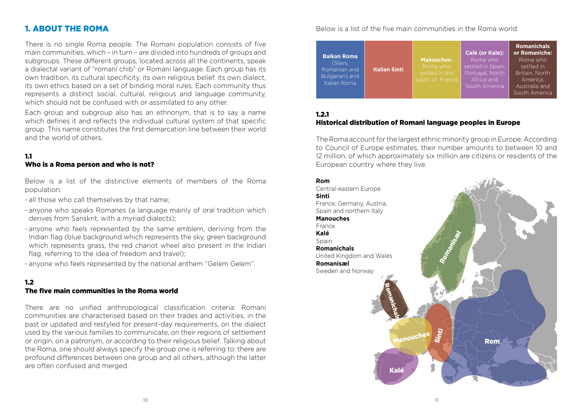## 1. ABOUT THE ROMA

There is no single Roma people. The Romani population consists of five main communities, which – in turn – are divided into hundreds of groups and subgroups. These different groups, located across all the continents, speak a dialectal variant of "romaní chib" or Romani language. Each group has its own tradition, its cultural specificity, its own religious belief, its own dialect, its own ethics based on a set of binding moral rules. Each community thus represents a distinct social, cultural, religious and language community, which should not be confused with or assimilated to any other.

Each group and subgroup also has an ethnonym, that is to say a name which defines it and reflects the individual cultural system of that specific group. This name constitutes the first demarcation line between their world and the world of others.

#### 1.1 Who is a Roma person and who is not?

Below is a list of the distinctive elements of members of the Roma population:

- all those who call themselves by that name;
- anyone who speaks Romanes (a language mainly of oral tradition which derives from Sanskrit, with a myriad dialects);
- anyone who feels represented by the same emblem, deriving from the Indian flag (blue background which represents the sky, green background which represents grass, the red chariot wheel also present in the Indian flag, referring to the idea of freedom and travel);

- anyone who feels represented by the national anthem "Gelem Gelem".

## 1.2

## The five main communities in the Roma world

There are no unified anthropological classification criteria: Romani communities are characterised based on their trades and activities, in the past or updated and restyled for present-day requirements, on the dialect used by the various families to communicate, on their regions of settlement or origin, on a patronym, or according to their religious belief. Talking about the Roma, one should always specify the group one is referring to: there are profound differences between one group and all others, although the latter are often confused and merged.

## Below is a list of the five main communities in the Roma world:

|  |                                                                                 |                 | Calè (or Kale):   | <b>Romanichals</b><br>or Romaniche: |
|--|---------------------------------------------------------------------------------|-----------------|-------------------|-------------------------------------|
|  | <b>Italian Sinti</b>                                                            |                 |                   | Roma who                            |
|  |                                                                                 | Roma who        | settled in Spain. | settled in                          |
|  |                                                                                 | settled in the  | Portugal, North   | Britain, North                      |
|  |                                                                                 | south of France | Africa and        | America.                            |
|  |                                                                                 |                 | South America     | Australia and                       |
|  |                                                                                 |                 |                   | South America                       |
|  | <b>Balkan Roma</b><br>(Slavs.<br>Romanian and<br>Bulgarian) and<br>Italian Roma |                 | <b>Manouches:</b> | Roma who                            |

#### 1.2.1 Historical distribution of Romani language peoples in Europe

The Roma account for the largest ethnic minority group in Europe. According to Council of Europe estimates, their number amounts to between 10 and 12 million, of which approximately six million are citizens or residents of the European country where they live.

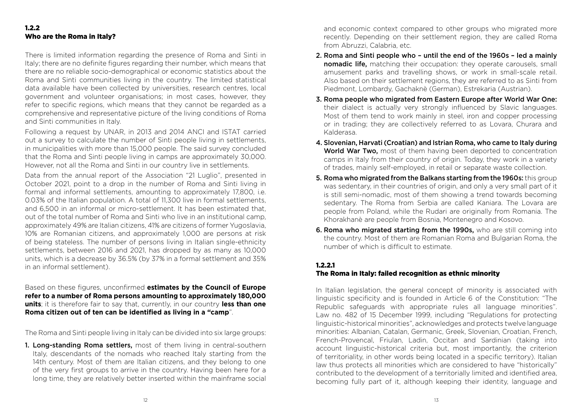#### 1.2.2 Who are the Roma in Italy?

There is limited information regarding the presence of Roma and Sinti in Italy; there are no definite figures regarding their number, which means that there are no reliable socio-demographical or economic statistics about the Roma and Sinti communities living in the country. The limited statistical data available have been collected by universities, research centres, local government and volunteer organisations; in most cases, however, they refer to specific regions, which means that they cannot be regarded as a comprehensive and representative picture of the living conditions of Roma and Sinti communities in Italy.

Following a request by UNAR, in 2013 and 2014 ANCI and ISTAT carried out a survey to calculate the number of Sinti people living in settlements, in municipalities with more than 15,000 people. The said survey concluded that the Roma and Sinti people living in camps are approximately 30,000. However, not all the Roma and Sinti in our country live in settlements.

Data from the annual report of the Association "21 Luglio", presented in October 2021, point to a drop in the number of Roma and Sinti living in formal and informal settlements, amounting to approximately 17,800, i.e. 0.03% of the Italian population. A total of 11,300 live in formal settlements, and 6,500 in an informal or micro-settlement. It has been estimated that, out of the total number of Roma and Sinti who live in an institutional camp, approximately 49% are Italian citizens, 41% are citizens of former Yugoslavia, 10% are Romanian citizens, and approximately 1,000 are persons at risk of being stateless. The number of persons living in Italian single-ethnicity settlements, between 2016 and 2021, has dropped by as many as 10,000 units, which is a decrease by 36.5% (by 37% in a formal settlement and 35% in an informal settlement).

Based on these figures, unconfirmed **estimates by the Council of Europe refer to a number of Roma persons amounting to approximately 180,000 units**; it is therefore fair to say that, currently, in our country **less than one Roma citizen out of ten can be identified as living in a "camp**".

The Roma and Sinti people living in Italy can be divided into six large groups:

1. Long-standing Roma settlers, most of them living in central-southern Italy, descendants of the nomads who reached Italy starting from the 14th century. Most of them are Italian citizens, and they belong to one of the very first groups to arrive in the country. Having been here for a long time, they are relatively better inserted within the mainframe social and economic context compared to other groups who migrated more recently. Depending on their settlement region, they are called Roma from Abruzzi, Calabria, etc.

- 2. Roma and Sinti people who until the end of the 1960s led a mainly nomadic life, matching their occupation: they operate carousels, small amusement parks and travelling shows, or work in small-scale retail. Also based on their settlement regions, they are referred to as Sinti from Piedmont, Lombardy, Gachaknè (German), Estrekaria (Austrian).
- 3. Roma people who migrated from Eastern Europe after World War One: their dialect is actually very strongly influenced by Slavic languages. Most of them tend to work mainly in steel, iron and copper processing or in trading; they are collectively referred to as Lovara, Churara and Kalderasa.
- 4. Slovenian, Harvati (Croatian) and Istrian Roma, who came to Italy during World War Two, most of them having been deported to concentration camps in Italy from their country of origin. Today, they work in a variety of trades, mainly self-employed, in retail or separate waste collection.
- 5. Roma who migrated from the Balkans starting from the 1960s: this group was sedentary, in their countries of origin, and only a very small part of it is still semi-nomadic, most of them showing a trend towards becoming sedentary. The Roma from Serbia are called Kaniara. The Lovara are people from Poland, while the Rudari are originally from Romania. The Khorakhanè are people from Bosnia, Montenegro and Kosovo.
- 6. Roma who migrated starting from the 1990s, who are still coming into the country. Most of them are Romanian Roma and Bulgarian Roma, the number of which is difficult to estimate.

## 1.2.2.1

## The Roma in Italy: failed recognition as ethnic minority

In Italian legislation, the general concept of minority is associated with linguistic specificity and is founded in Article 6 of the Constitution: "The Republic safeguards with appropriate rules all language minorities". Law no. 482 of 15 December 1999, including "Regulations for protecting linguistic-historical minorities", acknowledges and protects twelve language minorities: Albanian, Catalan, Germanic, Greek, Slovenian, Croatian, French, French-Provencal, Friulan, Ladin, Occitan and Sardinian (taking into account linguistic-historical criteria but, most importantly, the criterion of territoriality, in other words being located in a specific territory). Italian law thus protects all minorities which are considered to have "historically" contributed to the development of a territorially limited and identified area, becoming fully part of it, although keeping their identity, language and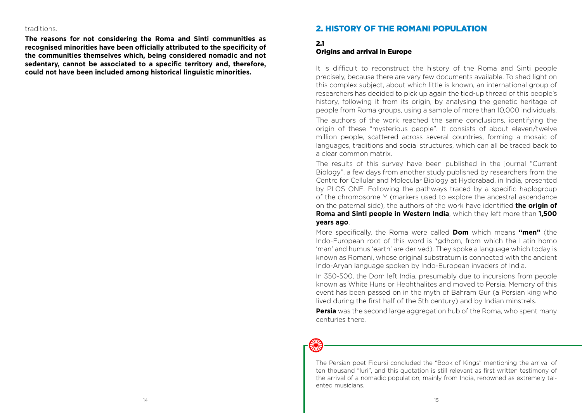#### traditions.

**The reasons for not considering the Roma and Sinti communities as recognised minorities have been officially attributed to the specificity of the communities themselves which, being considered nomadic and not sedentary, cannot be associated to a specific territory and, therefore, could not have been included among historical linguistic minorities.**

## 2. HISTORY OF THE ROMANI POPULATION

#### 2.1 **Origins and arrival in Europe**

It is difficult to reconstruct the history of the Roma and Sinti people precisely, because there are very few documents available. To shed light on this complex subject, about which little is known, an international group of researchers has decided to pick up again the tied-up thread of this people's history, following it from its origin, by analysing the genetic heritage of people from Roma groups, using a sample of more than 10,000 individuals.

The authors of the work reached the same conclusions, identifying the origin of these "mysterious people". It consists of about eleven/twelve million people, scattered across several countries, forming a mosaic of languages, traditions and social structures, which can all be traced back to a clear common matrix.

The results of this survey have been published in the journal "Current Biology", a few days from another study published by researchers from the Centre for Cellular and Molecular Biology at Hyderabad, in India, presented by PLOS ONE. Following the pathways traced by a specific haplogroup of the chromosome Y (markers used to explore the ancestral ascendance on the paternal side), the authors of the work have identified **the origin of Roma and Sinti people in Western India**, which they left more than **1,500 years ago**.

More specifically, the Roma were called **Dom** which means **"men"** (the Indo-European root of this word is \*gdhom, from which the Latin homo 'man' and humus 'earth' are derived). They spoke a language which today is known as Romani, whose original substratum is connected with the ancient Indo-Aryan language spoken by Indo-European invaders of India.

In 350-500, the Dom left India, presumably due to incursions from people known as White Huns or Hephthalites and moved to Persia. Memory of this event has been passed on in the myth of Bahram Gur (a Persian king who lived during the first half of the 5th century) and by Indian minstrels.

**Persia** was the second large aggregation hub of the Roma, who spent many centuries there.

The Persian poet Fidursi concluded the "Book of Kings" mentioning the arrival of ten thousand "luri", and this quotation is still relevant as first written testimony of the arrival of a nomadic population, mainly from India, renowned as extremely talented musicians.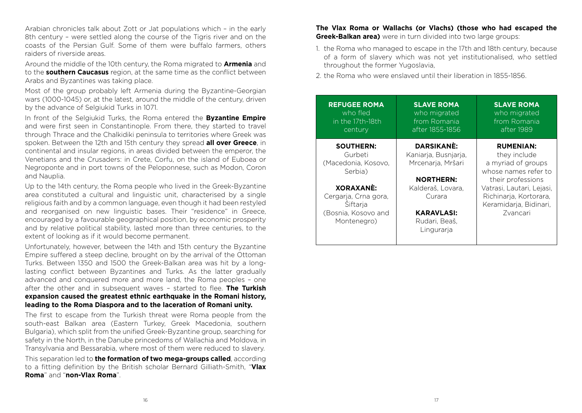Arabian chronicles talk about Zott or Jat populations which – in the early 8th century – were settled along the course of the Tigris river and on the coasts of the Persian Gulf. Some of them were buffalo farmers, others raiders of riverside areas.

Around the middle of the 10th century, the Roma migrated to **Armenia** and to the **southern Caucasus** region, at the same time as the conflict between Arabs and Byzantines was taking place.

Most of the group probably left Armenia during the Byzantine-Georgian wars (1000-1045) or, at the latest, around the middle of the century, driven by the advance of Selgiukid Turks in 1071.

In front of the Selgiukid Turks, the Roma entered the **Byzantine Empire**  and were first seen in Constantinople. From there, they started to travel through Thrace and the Chalkidiki peninsula to territories where Greek was spoken. Between the 12th and 15th century they spread **all over Greece**, in continental and insular regions, in areas divided between the emperor, the Venetians and the Crusaders: in Crete, Corfu, on the island of Euboea or Negroponte and in port towns of the Peloponnese, such as Modon, Coron and Nauplia.

Up to the 14th century, the Roma people who lived in the Greek-Byzantine area constituted a cultural and linguistic unit, characterised by a single religious faith and by a common language, even though it had been restyled and reorganised on new linguistic bases. Their "residence" in Greece, encouraged by a favourable geographical position, by economic prosperity and by relative political stability, lasted more than three centuries, to the extent of looking as if it would become permanent.

Unfortunately, however, between the 14th and 15th century the Byzantine Empire suffered a steep decline, brought on by the arrival of the Ottoman Turks. Between 1350 and 1500 the Greek-Balkan area was hit by a longlasting conflict between Byzantines and Turks. As the latter gradually advanced and conquered more and more land, the Roma peoples – one after the other and in subsequent waves – started to flee. **The Turkish expansion caused the greatest ethnic earthquake in the Romani history, leading to the Roma Diaspora and to the laceration of Romani unity.**

The first to escape from the Turkish threat were Roma people from the south-east Balkan area (Eastern Turkey, Greek Macedonia, southern Bulgaria), which split from the unified Greek-Byzantine group, searching for safety in the North, in the Danube princedoms of Wallachia and Moldova, in Transylvania and Bessarabia, where most of them were reduced to slavery.

This separation led to **the formation of two mega-groups called**, according to a fitting definition by the British scholar Bernard Gilliath-Smith, "**Vlax Roma**" and "**non-Vlax Roma**".

**The Vlax Roma or Wallachs (or Vlachs) (those who had escaped the Greek-Balkan area)** were in turn divided into two large groups:

1. the Roma who managed to escape in the 17th and 18th century, because of a form of slavery which was not yet institutionalised, who settled throughout the former Yugoslavia,

2. the Roma who were enslaved until their liberation in 1855-1856.

| <b>REFUGEE ROMA</b><br>who fled<br>in the 17th-18th<br>century | <b>SLAVE ROMA</b><br>who migrated<br>from Romania<br>after 1855-1856 | <b>SLAVE ROMA</b><br>who migrated<br>from Romania<br>after 1989 |
|----------------------------------------------------------------|----------------------------------------------------------------------|-----------------------------------------------------------------|
| <b>SOUTHERN:</b>                                               | DARSIKANE:                                                           | <b>RUMENIAN:</b>                                                |
| Gurbeti                                                        | Kaniarja, Busnjarja,                                                 | they include                                                    |
| (Macedonia, Kosovo,                                            | Mrcenarja, Mršari                                                    | a myriad of groups                                              |
| Serbia)                                                        |                                                                      | whose names refer to                                            |
|                                                                | <b>NORTHERN:</b>                                                     | their professions                                               |
| <b>XORAXANÈ:</b>                                               | Kalderaš, Lovara,                                                    | Vatrasi, Lautari, Lejasi,                                       |
| Cergarja, Crna gora,                                           | Curara                                                               | Richinarja, Kortorara,                                          |
| Šiftarja                                                       |                                                                      | Keramidarja, Bidinari,                                          |
| (Bosnia, Kosovo and                                            | <b>KARAVLASI:</b>                                                    | Zvancari                                                        |
| Montenegro)                                                    | Rudari, Beaš,                                                        |                                                                 |
|                                                                | Lingurarja                                                           |                                                                 |
|                                                                |                                                                      |                                                                 |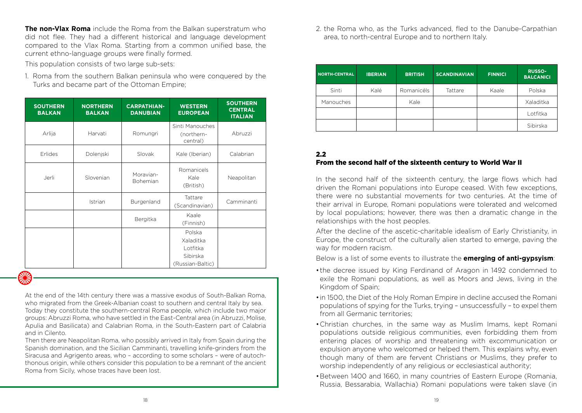**The non-Vlax Roma** include the Roma from the Balkan superstratum who did not flee. They had a different historical and language development compared to the Vlax Roma. Starting from a common unified base, the current ethno-language groups were finally formed.

This population consists of two large sub-sets:

1. Roma from the southern Balkan peninsula who were conquered by the Turks and became part of the Ottoman Empire;

| <b>SOUTHERN</b><br><b>BALKAN</b> | <b>NORTHERN</b><br><b>BALKAN</b> | <b>CARPATHIAN-</b><br><b>DANUBIAN</b> | <b>WESTERN</b><br><b>EUROPEAN</b>                               | <b>SOUTHERN</b><br><b>CENTRAL</b><br><b>ITALIAN</b> |
|----------------------------------|----------------------------------|---------------------------------------|-----------------------------------------------------------------|-----------------------------------------------------|
| Arlija                           | Harvati                          | Romungri                              | Sinti Manouches<br>(northern-<br>central)                       | Abruzzi                                             |
| Erlides                          | Dolenjski                        | Slovak                                | Kale (Iberian)                                                  | Calabrian                                           |
| Jerli                            | Slovenian                        | Moravian-<br>Bohemian                 | Romanicels<br>Kale<br>(British)                                 | Neapolitan                                          |
|                                  | Istrian                          | Burgenland                            | Tattare<br>(Scandinavian)                                       | Camminanti                                          |
|                                  |                                  | Bergitka                              | Kaale<br>(Finnish)                                              |                                                     |
|                                  |                                  |                                       | Polska<br>Xaladitka<br>Lotfitka<br>Sibirska<br>(Russian-Baltic) |                                                     |

At the end of the 14th century there was a massive exodus of South-Balkan Roma, who migrated from the Greek-Albanian coast to southern and central Italy by sea. Today they constitute the southern-central Roma people, which include two major groups: Abruzzi Roma, who have settled in the East-Central area (in Abruzzi, Molise, Apulia and Basilicata) and Calabrian Roma, in the South-Eastern part of Calabria and in Cilento.

Then there are Neapolitan Roma, who possibly arrived in Italy from Spain during the Spanish domination, and the Sicilian Camminanti, travelling knife-grinders from the Siracusa and Agrigento areas, who – according to some scholars – were of autochthonous origin, while others consider this population to be a remnant of the ancient Roma from Sicily, whose traces have been lost.

2. the Roma who, as the Turks advanced, fled to the Danube-Carpathian area, to north-central Europe and to northern Italy.

| <b>NORTH-CENTRAL</b> | <b>IBERIAN</b> | <b>BRITISH</b> | <b>SCANDINAVIAN</b> | <b>FINNICI</b> | <b>RUSSO-</b><br><b>BALCANICI</b> |
|----------------------|----------------|----------------|---------------------|----------------|-----------------------------------|
| Sinti                | Kalé           | Romanicéls     | Tattare             | Kaale          | Polska                            |
| Manouches            |                | Kale           |                     |                | Xaladitka                         |
|                      |                |                |                     |                | Lotfitka                          |
|                      |                |                |                     |                | Sibirska                          |

## 2.2 From the second half of the sixteenth century to World War II

In the second half of the sixteenth century, the large flows which had driven the Romani populations into Europe ceased. With few exceptions, there were no substantial movements for two centuries. At the time of their arrival in Europe, Romani populations were tolerated and welcomed by local populations; however, there was then a dramatic change in the relationships with the host peoples.

After the decline of the ascetic-charitable idealism of Early Christianity, in Europe, the construct of the culturally alien started to emerge, paving the way for modern racism.

Below is a list of some events to illustrate the **emerging of anti-gypsyism**:

- the decree issued by King Ferdinand of Aragon in 1492 condemned to exile the Romani populations, as well as Moors and Jews, living in the Kingdom of Spain;
- in 1500, the Diet of the Holy Roman Empire in decline accused the Romani populations of spying for the Turks, trying – unsuccessfully – to expel them from all Germanic territories;
- •Christian churches, in the same way as Muslim Imams, kept Romani populations outside religious communities, even forbidding them from entering places of worship and threatening with excommunication or expulsion anyone who welcomed or helped them. This explains why, even though many of them are fervent Christians or Muslims, they prefer to worship independently of any religious or ecclesiastical authority;
- •Between 1400 and 1660, in many countries of Eastern Europe (Romania, Russia, Bessarabia, Wallachia) Romani populations were taken slave (in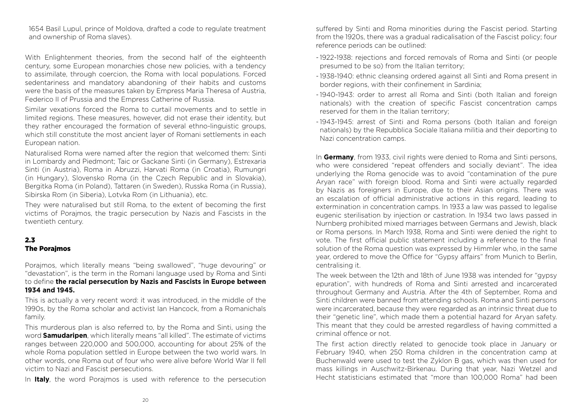1654 Basil Lupul, prince of Moldova, drafted a code to regulate treatment and ownership of Roma slaves).

With Enlightenment theories, from the second half of the eighteenth century, some European monarchies chose new policies, with a tendency to assimilate, through coercion, the Roma with local populations. Forced sedentariness and mandatory abandoning of their habits and customs were the basis of the measures taken by Empress Maria Theresa of Austria, Federico II of Prussia and the Empress Catherine of Russia.

Similar vexations forced the Roma to curtail movements and to settle in limited regions. These measures, however, did not erase their identity, but they rather encouraged the formation of several ethno-linguistic groups, which still constitute the most ancient layer of Romani settlements in each European nation.

Naturalised Roma were named after the region that welcomed them: Sinti in Lombardy and Piedmont; Taic or Gackane Sinti (in Germany), Estrexaria Sinti (in Austria), Roma in Abruzzi, Harvati Roma (in Croatia), Rumungri (in Hungary), Slovensko Roma (in the Czech Republic and in Slovakia), Bergitka Roma (in Poland), Tattaren (in Sweden), Russka Roma (in Russia), Sibirska Rom (in Siberia), Lotvka Rom (in Lithuania), etc.

They were naturalised but still Roma, to the extent of becoming the first victims of Porajmos, the tragic persecution by Nazis and Fascists in the twentieth century.

#### 2.3 The Porajmos

Porajmos, which literally means "being swallowed", "huge devouring" or "devastation", is the term in the Romani language used by Roma and Sinti to define **the racial persecution by Nazis and Fascists in Europe between 1934 and 1945.**

This is actually a very recent word: it was introduced, in the middle of the 1990s, by the Roma scholar and activist Ian Hancock, from a Romanichals family.

This murderous plan is also referred to, by the Roma and Sinti, using the word **Samudaripen**, which literally means "all killed". The estimate of victims ranges between 220,000 and 500,000, accounting for about 25% of the whole Roma population settled in Europe between the two world wars. In other words, one Roma out of four who were alive before World War II fell victim to Nazi and Fascist persecutions.

In **Italy**, the word Porajmos is used with reference to the persecution

suffered by Sinti and Roma minorities during the Fascist period. Starting from the 1920s, there was a gradual radicalisation of the Fascist policy; four reference periods can be outlined:

- 1922-1938: rejections and forced removals of Roma and Sinti (or people presumed to be so) from the Italian territory;
- 1938-1940: ethnic cleansing ordered against all Sinti and Roma present in border regions, with their confinement in Sardinia;
- 1940-1943: order to arrest all Roma and Sinti (both Italian and foreign nationals) with the creation of specific Fascist concentration camps reserved for them in the Italian territory;
- 1943-1945: arrest of Sinti and Roma persons (both Italian and foreign nationals) by the Repubblica Sociale Italiana militia and their deporting to Nazi concentration camps.

In **Germany**, from 1933, civil rights were denied to Roma and Sinti persons, who were considered "repeat offenders and socially deviant". The idea underlying the Roma genocide was to avoid "contamination of the pure Aryan race" with foreign blood. Roma and Sinti were actually regarded by Nazis as foreigners in Europe, due to their Asian origins. There was an escalation of official administrative actions in this regard, leading to extermination in concentration camps. In 1933 a law was passed to legalise eugenic sterilisation by injection or castration. In 1934 two laws passed in Nurnberg prohibited mixed marriages between Germans and Jewish, black or Roma persons. In March 1938, Roma and Sinti were denied the right to vote. The first official public statement including a reference to the final solution of the Roma question was expressed by Himmler who, in the same year, ordered to move the Office for "Gypsy affairs" from Munich to Berlin, centralising it.

The week between the 12th and 18th of June 1938 was intended for "gypsy epuration", with hundreds of Roma and Sinti arrested and incarcerated throughout Germany and Austria. After the 4th of September, Roma and Sinti children were banned from attending schools. Roma and Sinti persons were incarcerated, because they were regarded as an intrinsic threat due to their "genetic line", which made them a potential hazard for Aryan safety. This meant that they could be arrested regardless of having committed a criminal offence or not.

The first action directly related to genocide took place in January or February 1940, when 250 Roma children in the concentration camp at Buchenwald were used to test the Zyklon B gas, which was then used for mass killings in Auschwitz-Birkenau. During that year, Nazi Wetzel and Hecht statisticians estimated that "more than 100,000 Roma" had been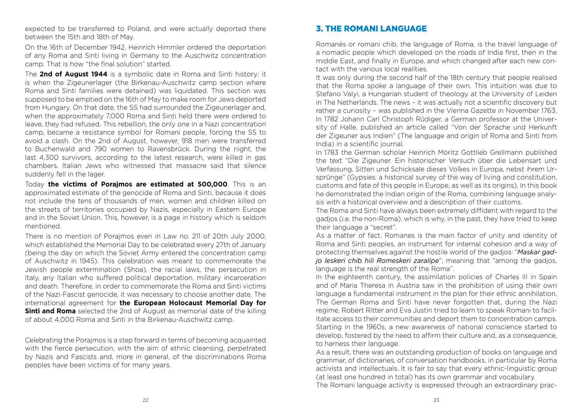expected to be transferred to Poland, and were actually deported there between the 15th and 18th of May.

On the 16th of December 1942, Heinrich Himmler ordered the deportation of any Roma and Sinti living in Germany to the Auschwitz concentration camp. That is how "the final solution" started.

The **2nd of August 1944** is a symbolic date in Roma and Sinti history: it is when the Zigeunerlager (the Birkenau-Auschwitz camp section where Roma and Sinti families were detained) was liquidated. This section was supposed to be emptied on the 16th of May to make room for Jews deported from Hungary. On that date, the SS had surrounded the Zigeunerlager and, when the approximately 7,000 Roma and Sinti held there were ordered to leave, they had refused. This rebellion, the only one in a Nazi concentration camp, became a resistance symbol for Romani people, forcing the SS to avoid a clash. On the 2nd of August, however, 918 men were transferred to Buchenwald and 790 women to Ravensbrück. During the night, the last 4,300 survivors, according to the latest research, were killed in gas chambers. Italian Jews who witnessed that massacre said that silence suddenly fell in the lager.

Today **the victims of Porajmos are estimated at 500,000**. This is an approximated estimate of the genocide of Roma and Sinti, because it does not include the tens of thousands of men, women and children killed on the streets of territories occupied by Nazis, especially in Eastern Europe and in the Soviet Union. This, however, is a page in history which is seldom mentioned.

There is no mention of Porajmos even in Law no. 211 of 20th July 2000, which established the Memorial Day to be celebrated every 27th of January (being the day on which the Soviet Army entered the concentration camp of Auschwitz in 1945). This celebration was meant to commemorate the Jewish people extermination (Shoa), the racial laws, the persecution in Italy, any Italian who suffered political deportation, military incarceration and death. Therefore, in order to commemorate the Roma and Sinti victims of the Nazi-Fascist genocide, it was necessary to choose another date. The international agreement for **the European Holocaust Memorial Day for Sinti and Roma** selected the 2nd of August as memorial date of the killing of about 4,000 Roma and Sinti in the Birkenau-Auschwitz camp.

Celebrating the Porajmos is a step forward in terms of becoming acquainted with the fierce persecution, with the aim of ethnic cleansing, perpetrated by Nazis and Fascists and, more in general, of the discriminations Roma peoples have been victims of for many years.

## 3. THE ROMANI LANGUAGE

Romanés or romani chib, the language of Roma, is the travel language of a nomadic people which developed on the roads of India first, then in the middle East, and finally in Europe, and which changed after each new contact with the various local realities.

It was only during the second half of the 18th century that people realised that the Roma spoke a language of their own. This intuition was due to Stefano Valyi, a Hungarian student of theology at the University of Leiden in The Netherlands. The news – it was actually not a scientific discovery but rather a curiosity – was published in the Vienna Gazette in November 1763. In 1782 Johann Carl Christoph Rüdiger, a German professor at the University of Halle, published an article called "Von der Sprache und Herkunft der Zigeuner aus Indien" (The language and origin of Roma and Sinti from India) in a scientific journal.

In 1783 the German scholar Heinrich Moritz Gottlieb Grellmann published the text "Die Zigeuner. Ein historischer Versuch über die Lebensart und Verfassung, Sitten und Schicksale dieses Volkes in Europa, nebst ihrem Ursprünge" (Gypsies: a historical survey of the way of living and constitution, customs and fate of this people in Europe, as well as its origins). In this book he demonstrated the Indian origin of the Roma, combining language analysis with a historical overview and a description of their customs.

The Roma and Sinti have always been extremely diffident with regard to the gadjos (i.e. the non-Roma), which is why, in the past, they have tried to keep their language a "secret".

As a matter of fact, Romanes is the main factor of unity and identity of Roma and Sinti peoples, an instrument for internal cohesion and a way of protecting themselves against the hostile world of the gadjos: "*Maskar gadjo leskeri chib hili Romeskeri zaralipe*", meaning that "among the gadjos, language is the real strength of the Roma".

In the eighteenth century, the assimilation policies of Charles III in Spain and of Maria Theresa in Austria saw in the prohibition of using their own language a fundamental instrument in the plan for their ethnic annihilation. The German Roma and Sinti have never forgotten that, during the Nazi regime, Robert Ritter and Eva Justin tried to learn to speak Romani to facilitate access to their communities and deport them to concentration camps. Starting in the 1960s, a new awareness of national conscience started to develop, fostered by the need to affirm their culture and, as a consequence, to harness their language.

As a result, there was an outstanding production of books on language and grammar, of dictionaries, of conversation handbooks, in particular by Roma activists and intellectuals. It is fair to say that every ethnic-linguistic group (at least one hundred in total) has its own grammar and vocabulary.

The Romani language activity is expressed through an extraordinary prac-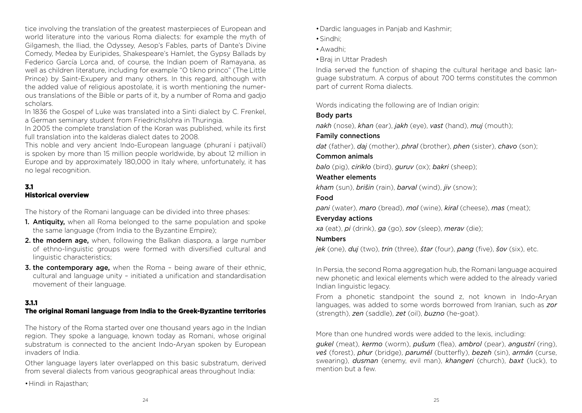tice involving the translation of the greatest masterpieces of European and world literature into the various Roma dialects: for example the myth of Gilgamesh, the Iliad, the Odyssey, Aesop's Fables, parts of Dante's Divine Comedy, Medea by Euripides, Shakespeare's Hamlet, the Gypsy Ballads by Federico García Lorca and, of course, the Indian poem of Ramayana, as well as children literature, including for example "O tikno princo" (The Little Prince) by Saint-Exupery and many others. In this regard, although with the added value of religious apostolate, it is worth mentioning the numerous translations of the Bible or parts of it, by a number of Roma and gadjo scholars.

In 1836 the Gospel of Luke was translated into a Sinti dialect by C. Frenkel, a German seminary student from Friedrichslohra in Thuringia.

In 2005 the complete translation of the Koran was published, while its first full translation into the kalderas dialect dates to 2008.

This noble and very ancient Indo-European language (phuraní i patjivalí) is spoken by more than 15 million people worldwide, by about 12 million in Europe and by approximately 180,000 in Italy where, unfortunately, it has no legal recognition.

## 3.1 Historical overview

The history of the Romani language can be divided into three phases:

- **1. Antiquity,** when all Roma belonged to the same population and spoke the same language (from India to the Byzantine Empire);
- 2. the modern age, when, following the Balkan diaspora, a large number of ethno-linguistic groups were formed with diversified cultural and linguistic characteristics;
- **3. the contemporary age,** when the Roma being aware of their ethnic, cultural and language unity – initiated a unification and standardisation movement of their language.

## 3.1.1

## The original Romani language from India to the Greek-Byzantine territories

The history of the Roma started over one thousand years ago in the Indian region. They spoke a language, known today as Romani, whose original substratum is connected to the ancient Indo-Aryan spoken by European invaders of India.

Other language layers later overlapped on this basic substratum, derived from several dialects from various geographical areas throughout India:

•Hindi in Rajasthan;

- •Dardic languages in Panjab and Kashmir;
- •Sindhi;
- •Awadhi;
- •Braj in Uttar Pradesh

India served the function of shaping the cultural heritage and basic language substratum. A corpus of about 700 terms constitutes the common part of current Roma dialects.

Words indicating the following are of Indian origin:

## Body parts

*nakh* (nose), *khan* (ear), *jakh* (eye), *vast* (hand), *muj* (mouth);

## Family connections

*dat* (father), *daj* (mother), *phral* (brother), *phen* (sister), *chavo* (son);

## Common animals

*balo* (pig), *ciriklo* (bird), *guruv* (ox); *bakri* (sheep);

## Weather elements

*kham* (sun), *brišin* (rain), *barval* (wind), *jiv* (snow);

## Food

*pani* (water), *maro* (bread), *mol* (wine), *kiral* (cheese), *mas* (meat);

## Everyday actions

*xa* (eat), *pi* (drink), *ga* (go), *sov* (sleep), *merav* (die);

## Numbers

*jek* (one), *duj* (two), *trin* (three), *štar* (four), *pang* (five), *šov* (six), etc.

In Persia, the second Roma aggregation hub, the Romani language acquired new phonetic and lexical elements which were added to the already varied Indian linguistic legacy.

From a phonetic standpoint the sound z, not known in Indo-Aryan languages, was added to some words borrowed from Iranian, such as *zor*  (strength), *zen* (saddle), *zet* (oil), *buzno* (he-goat).

More than one hundred words were added to the lexis, including:

*gukel* (meat), *kermo* (worm), *pušum* (flea), *ambrol* (pear), *angustrí* (ring), *veš* (forest), *phur* (bridge), *parumél* (butterfly), *bezeh* (sin), *armán* (curse, swearing), *dusman* (enemy, evil man), *khangeri* (church), *baxt* (luck), to mention but a few.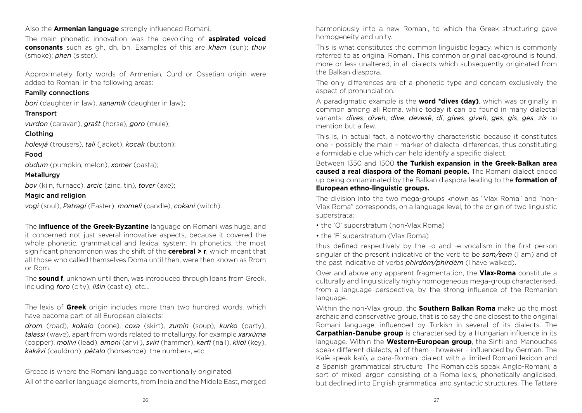## Also the **Armenian language** strongly influenced Romani.

The main phonetic innovation was the devoicing of **aspirated voiced consonants** such as gh, dh, bh. Examples of this are *kham* (sun); *thuv* (smoke); *phen* (sister).

Approximately forty words of Armenian, Curd or Ossetian origin were added to Romani in the following areas:

## Family connections

*bori* (daughter in law), *xanamik* (daughter in law);

## **Transport**

*vurdon* (caravan), *grašt* (horse), *goro* (mule);

## Clothing

*holevjá* (trousers), *tali* (jacket), *kocak* (button);

## Food

*dudum* (pumpkin, melon), *xomer* (pasta);

## **Metallurgy** *bov* (kiln, furnace), *arcic* (zinc, tin), *tover* (axe);

## Magic and religion

*vogi* (soul), *Patragi* (Easter), *momelì* (candle), *cokani* (witch).

The **influence of the Greek-Byzantine** language on Romani was huge, and it concerned not just several innovative aspects, because it covered the whole phonetic, grammatical and lexical system. In phonetics, the most significant phenomenon was the shift of the **cerebral > r**, which meant that all those who called themselves Doma until then, were then known as Rrom or Rom.

The **sound f**, unknown until then, was introduced through loans from Greek, including *foro* (city), *lišin* (castle), etc...

The lexis of **Greek** origin includes more than two hundred words, which have become part of all European dialects:

*drom* (road), *kokalo* (bone), *coxa* (skirt), *zumin* (soup), *kurko* (party), *talassi* (wave), apart from words related to metallurgy, for example *xarxúma*  (copper), *molivi* (lead), *amoni* (anvil), *sviri* (hammer), *karfí* (nail), *klidí* (key), *kakávi* (cauldron), *pétalo* (horseshoe); the numbers, etc.

Greece is where the Romani language conventionally originated. All of the earlier language elements, from India and the Middle East, merged harmoniously into a new Romani, to which the Greek structuring gave homogeneity and unity.

This is what constitutes the common linguistic legacy, which is commonly referred to as original Romani. This common original background is found, more or less unaltered, in all dialects which subsequently originated from the Balkan diaspora.

The only differences are of a phonetic type and concern exclusively the aspect of pronunciation.

A paradigmatic example is the **word \*dives (day)**, which was originally in common among all Roma, while today it can be found in many dialectal variants: *dives*, *diveh*, *dive*, *devesë*, *di*, *gives*, *giveh*, *ges*, *gis*, *ges*, *zis* to mention but a few.

This is, in actual fact, a noteworthy characteristic because it constitutes one – possibly the main – marker of dialectal differences, thus constituting a formidable clue which can help identify a specific dialect.

Between 1350 and 1500 **the Turkish expansion in the Greek-Balkan area caused a real diaspora of the Romani people.** The Romani dialect ended up being contaminated by the Balkan diaspora leading to the **formation of European ethno-linguistic groups.**

The division into the two mega-groups known as "Vlax Roma" and "non-Vlax Roma" corresponds, on a language level, to the origin of two linguistic superstrata:

- the 'O' superstratum (non-Vlax Roma)
- the 'E' superstratum (Vlax Roma)

thus defined respectively by the -o and -e vocalism in the first person singular of the present indicative of the verb to be *som/sem* (I am) and of the past indicative of verbs *phirdóm/phirdém* (I have walked).

Over and above any apparent fragmentation, the **Vlax-Roma** constitute a culturally and linguistically highly homogeneous mega-group characterised, from a language perspective, by the strong influence of the Romanian language.

Within the non-Vlax group, the **Southern Balkan Roma** make up the most archaic and conservative group, that is to say the one closest to the original Romani language, influenced by Turkish in several of its dialects. The **Carpathian-Danube group** is characterised by a Hungarian influence in its language. Within the **Western-European group**, the Sinti and Manouches speak different dialects, all of them – however – influenced by German. The Kalè speak kalò, a para-Romani dialect with a limited Romani lexicon and a Spanish grammatical structure. The Romanicels speak Anglo-Romani, a sort of mixed jargon consisting of a Roma lexis, phonetically anglicised, but declined into English grammatical and syntactic structures. The Tattare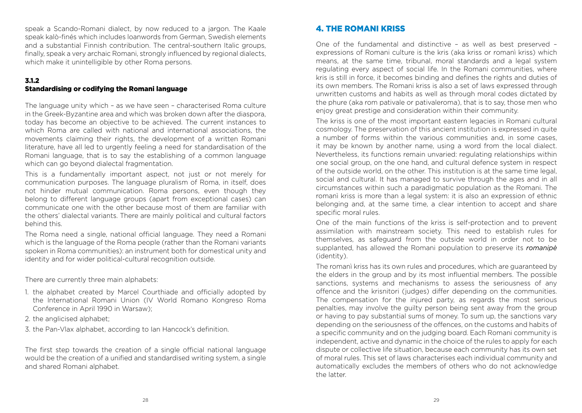speak a Scando-Romani dialect, by now reduced to a jargon. The Kaale speak kalò-finés which includes loanwords from German, Swedish elements and a substantial Finnish contribution. The central-southern Italic groups, finally, speak a very archaic Romani, strongly influenced by regional dialects, which make it unintelligible by other Roma persons.

#### 3.1.2

#### Standardising or codifying the Romani language

The language unity which – as we have seen – characterised Roma culture in the Greek-Byzantine area and which was broken down after the diaspora, today has become an objective to be achieved. The current instances to which Roma are called with national and international associations, the movements claiming their rights, the development of a written Romani literature, have all led to urgently feeling a need for standardisation of the Romani language, that is to say the establishing of a common language which can go beyond dialectal fragmentation.

This is a fundamentally important aspect, not just or not merely for communication purposes. The language pluralism of Roma, in itself, does not hinder mutual communication. Roma persons, even though they belong to different language groups (apart from exceptional cases) can communicate one with the other because most of them are familiar with the others' dialectal variants. There are mainly political and cultural factors behind this.

The Roma need a single, national official language. They need a Romani which is the language of the Roma people (rather than the Romani variants spoken in Roma communities): an instrument both for domestical unity and identity and for wider political-cultural recognition outside.

There are currently three main alphabets:

- 1. the alphabet created by Marcel Courthiade and officially adopted by the International Romani Union (IV World Romano Kongreso Roma Conference in April 1990 in Warsaw);
- 2. the anglicised alphabet;
- 3. the Pan-Vlax alphabet, according to Ian Hancock's definition.

The first step towards the creation of a single official national language would be the creation of a unified and standardised writing system, a single and shared Romani alphabet.

## 4. THE ROMANI KRISS

One of the fundamental and distinctive – as well as best preserved – expressions of Romani culture is the kris (aka kriss or romanì kriss) which means, at the same time, tribunal, moral standards and a legal system regulating every aspect of social life. In the Romani communities, where kris is still in force, it becomes binding and defines the rights and duties of its own members. The Romani kriss is also a set of laws expressed through unwritten customs and habits as well as through moral codes dictated by the phure (aka rom pativale or pativaleroma), that is to say, those men who enjoy great prestige and consideration within their community.

The kriss is one of the most important eastern legacies in Romani cultural cosmology. The preservation of this ancient institution is expressed in quite a number of forms within the various communities and, in some cases, it may be known by another name, using a word from the local dialect. Nevertheless, its functions remain unvaried: regulating relationships within one social group, on the one hand, and cultural defence system in respect of the outside world, on the other. This institution is at the same time legal, social and cultural. It has managed to survive through the ages and in all circumstances within such a paradigmatic population as the Romani. The romanì kriss is more than a legal system: it is also an expression of ethnic belonging and, at the same time, a clear intention to accept and share specific moral rules.

One of the main functions of the kriss is self-protection and to prevent assimilation with mainstream society. This need to establish rules for themselves, as safeguard from the outside world in order not to be supplanted, has allowed the Romani population to preserve its *romanipè*  (identity).

The romanì kriss has its own rules and procedures, which are guaranteed by the elders in the group and by its most influential members. The possible sanctions, systems and mechanisms to assess the seriousness of any offence and the krisnitori (judges) differ depending on the communities. The compensation for the injured party, as regards the most serious penalties, may involve the guilty person being sent away from the group or having to pay substantial sums of money. To sum up, the sanctions vary depending on the seriousness of the offences, on the customs and habits of a specific community and on the judging board. Each Romani community is independent, active and dynamic in the choice of the rules to apply for each dispute or collective life situation, because each community has its own set of moral rules. This set of laws characterises each individual community and automatically excludes the members of others who do not acknowledge the latter.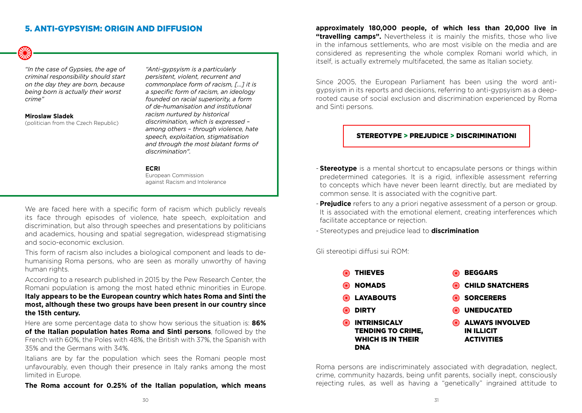## 5. ANTI-GYPSYISM: ORIGIN AND DIFFUSION

*"In the case of Gypsies, the age of criminal responsibility should start on the day they are born, because being born is actually their worst crime"*

**Miroslaw Sladek** 

(politician from the Czech Republic)

*"Anti-gypsyism is a particularly persistent, violent, recurrent and commonplace form of racism, [...] it is a specific form of racism, an ideology founded on racial superiority, a form of de-humanisation and institutional racism nurtured by historical discrimination, which is expressed – among others – through violence, hate speech, exploitation, stigmatisation and through the most blatant forms of discrimination".*

#### **ECRI**

European Commission against Racism and Intolerance

We are faced here with a specific form of racism which publicly reveals its face through episodes of violence, hate speech, exploitation and discrimination, but also through speeches and presentations by politicians and academics, housing and spatial segregation, widespread stigmatising and socio-economic exclusion.

This form of racism also includes a biological component and leads to dehumanising Roma persons, who are seen as morally unworthy of having human rights.

According to a research published in 2015 by the Pew Research Center, the Romani population is among the most hated ethnic minorities in Europe. **Italy appears to be the European country which hates Roma and Sinti the most, although these two groups have been present in our country since the 15th century.**

Here are some percentage data to show how serious the situation is: **86% of the Italian population hates Roma and Sinti persons**, followed by the French with 60%, the Poles with 48%, the British with 37%, the Spanish with 35% and the Germans with 34%.

Italians are by far the population which sees the Romani people most unfavourably, even though their presence in Italy ranks among the most limited in Europe.

**The Roma account for 0.25% of the Italian population, which means** 

**approximately 180,000 people, of which less than 20,000 live in "travelling camps".** Nevertheless it is mainly the misfits, those who live in the infamous settlements, who are most visible on the media and are considered as representing the whole complex Romani world which, in itself, is actually extremely multifaceted, the same as Italian society.

Since 2005, the European Parliament has been using the word antigypsyism in its reports and decisions, referring to anti-gypsyism as a deeprooted cause of social exclusion and discrimination experienced by Roma and Sinti persons.

#### STEREOTYPE > PREJUDICE > DISCRIMINATIONI

- **Stereotype** is a mental shortcut to encapsulate persons or things within predetermined categories. It is a rigid, inflexible assessment referring to concepts which have never been learnt directly, but are mediated by common sense. It is associated with the cognitive part.
- **Prejudice** refers to any a priori negative assessment of a person or group. It is associated with the emotional element, creating interferences which facilitate acceptance or rejection.

- Stereotypes and prejudice lead to **discrimination**

Gli stereotipi diffusi sui ROM:

| ł | <b>THIEVES</b>                                                                     |    | <b>BEGGARS</b>                                                   |
|---|------------------------------------------------------------------------------------|----|------------------------------------------------------------------|
| ł | <b>NOMADS</b>                                                                      | ₩  | <b>CHILD SNATCHERS</b>                                           |
| ł | <b>LAYABOUTS</b>                                                                   | ₩  | <b>SORCERERS</b>                                                 |
| ł | <b>DIRTY</b>                                                                       | ₩€ | <b>UNEDUCATED</b>                                                |
| ł | <b>INTRINSICALY</b><br><b>TENDING TO CRIME,</b><br><b>WHICH IS IN THEIR</b><br>DNA |    | <b>ALWAYS INVOLVED</b><br><b>IN ILLICIT</b><br><b>ACTIVITIES</b> |

Roma persons are indiscriminately associated with degradation, neglect, crime, community hazards, being unfit parents, socially inept, consciously rejecting rules, as well as having a "genetically" ingrained attitude to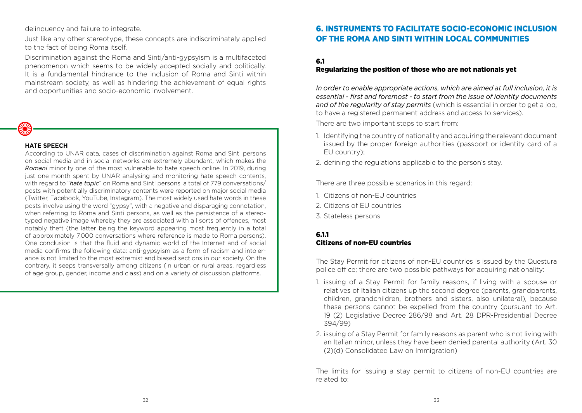delinquency and failure to integrate.

Just like any other stereotype, these concepts are indiscriminately applied to the fact of being Roma itself.

Discrimination against the Roma and Sinti/anti-gypsyism is a multifaceted phenomenon which seems to be widely accepted socially and politically. It is a fundamental hindrance to the inclusion of Roma and Sinti within mainstream society, as well as hindering the achievement of equal rights and opportunities and socio-economic involvement.



#### **HATE SPEECH**

According to UNAR data, cases of discrimination against Roma and Sinti persons on social media and in social networks are extremely abundant, which makes the *Romani* minority one of the most vulnerable to hate speech online. In 2019, during just one month spent by UNAR analysing and monitoring hate speech contents, with regard to "*hate topic*" on Roma and Sinti persons, a total of 779 conversations/ posts with potentially discriminatory contents were reported on major social media (Twitter, Facebook, YouTube, Instagram). The most widely used hate words in these posts involve using the word "gypsy", with a negative and disparaging connotation, when referring to Roma and Sinti persons, as well as the persistence of a stereotyped negative image whereby they are associated with all sorts of offences, most notably theft (the latter being the keyword appearing most frequently in a total of approximately 7,000 conversations where reference is made to Roma persons). One conclusion is that the fluid and dynamic world of the Internet and of social media confirms the following data: anti-gypsyism as a form of racism and intolerance is not limited to the most extremist and biased sections in our society. On the contrary, it seeps transversally among citizens (in urban or rural areas, regardless of age group, gender, income and class) and on a variety of discussion platforms.

## 6. INSTRUMENTS TO FACILITATE SOCIO-ECONOMIC INCLUSION OF THE ROMA AND SINTI WITHIN LOCAL COMMUNITIES

#### 6.1

#### Regularizing the position of those who are not nationals yet

*In order to enable appropriate actions, which are aimed at full inclusion, it is essential - first and foremost - to start from the issue of identity documents and of the regularity of stay permits* (which is essential in order to get a job, to have a registered permanent address and access to services).

There are two important steps to start from:

- 1. Identifying the country of nationality and acquiring the relevant document issued by the proper foreign authorities (passport or identity card of a EU country);
- 2. defining the regulations applicable to the person's stay.

There are three possible scenarios in this regard:

- 1. Citizens of non-EU countries
- 2. Citizens of EU countries
- 3. Stateless persons

## 6.1.1 Citizens of non-EU countries

The Stay Permit for citizens of non-EU countries is issued by the Questura police office; there are two possible pathways for acquiring nationality:

- 1. issuing of a Stay Permit for family reasons, if living with a spouse or relatives of Italian citizens up the second degree (parents, grandparents, children, grandchildren, brothers and sisters, also unilateral), because these persons cannot be expelled from the country (pursuant to Art. 19 (2) Legislative Decree 286/98 and Art. 28 DPR-Presidential Decree 394/99)
- 2. issuing of a Stay Permit for family reasons as parent who is not living with an Italian minor, unless they have been denied parental authority (Art. 30 (2)(d) Consolidated Law on Immigration)

The limits for issuing a stay permit to citizens of non-EU countries are related to: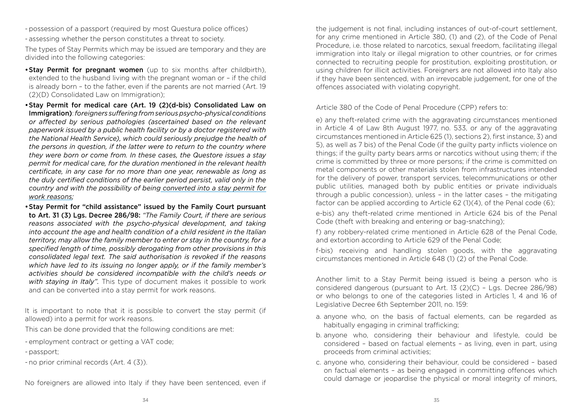- possession of a passport (required by most Questura police offices)
- assessing whether the person constitutes a threat to society.

The types of Stay Permits which may be issued are temporary and they are divided into the following categories:

- Stay Permit for pregnant women (up to six months after childbirth), extended to the husband living with the pregnant woman or – if the child is already born – to the father, even if the parents are not married (Art. 19 (2)(D) Consolidated Law on Immigration);
- •Stay Permit for medical care (Art. 19 (2)(d-bis) Consolidated Law on Immigration): *foreigners suffering from serious psycho-physical conditions or affected by serious pathologies (ascertained based on the relevant paperwork issued by a public health facility or by a doctor registered with the National Health Service), which could seriously prejudge the health of the persons in question, if the latter were to return to the country where they were born or come from. In these cases, the Questore issues a stay permit for medical care, for the duration mentioned in the relevant health certificate, in any case for no more than one year, renewable as long as the duly certified conditions of the earlier period persist, valid only in the country and with the possibility of being converted into a stay permit for work reasons;*
- •Stay Permit for "child assistance" issued by the Family Court pursuant to Art. 31 (3) Lgs. Decree 286/98: *"The Family Court, if there are serious reasons associated with the psycho-physical development, and taking into account the age and health condition of a child resident in the Italian territory, may allow the family member to enter or stay in the country, for a specified length of time, possibly derogating from other provisions in this consolidated legal text. The said authorisation is revoked if the reasons which have led to its issuing no longer apply, or if the family member's activities should be considered incompatible with the child's needs or with staying in Italy".* This type of document makes it possible to work and can be converted into a stay permit for work reasons.

It is important to note that it is possible to convert the stay permit (if allowed) into a permit for work reasons.

This can be done provided that the following conditions are met:

- employment contract or getting a VAT code;
- passport;
- no prior criminal records (Art. 4 (3)).

No foreigners are allowed into Italy if they have been sentenced, even if

the judgement is not final, including instances of out-of-court settlement, for any crime mentioned in Article 380, (1) and (2), of the Code of Penal Procedure, i.e. those related to narcotics, sexual freedom, facilitating illegal immigration into Italy or illegal migration to other countries, or for crimes connected to recruiting people for prostitution, exploiting prostitution, or using children for illicit activities. Foreigners are not allowed into Italy also if they have been sentenced, with an irrevocable judgement, for one of the offences associated with violating copyright.

Article 380 of the Code of Penal Procedure (CPP) refers to:

e) any theft-related crime with the aggravating circumstances mentioned in Article 4 of Law 8th August 1977, no. 533, or any of the aggravating circumstances mentioned in Article 625 (1), sections 2), first instance, 3) and 5), as well as 7 bis) of the Penal Code (if the guilty party inflicts violence on things; if the guilty party bears arms or narcotics without using them; if the crime is committed by three or more persons; if the crime is committed on metal components or other materials stolen from infrastructures intended for the delivery of power, transport services, telecommunications or other public utilities, managed both by public entities or private individuals through a public concession), unless – in the latter cases – the mitigating factor can be applied according to Article 62 (1)(4), of the Penal code (6);

e-bis) any theft-related crime mentioned in Article 624 bis of the Penal Code (theft with breaking and entering or bag-snatching);

f) any robbery-related crime mentioned in Article 628 of the Penal Code, and extortion according to Article 629 of the Penal Code;

f-bis) receiving and handling stolen goods, with the aggravating circumstances mentioned in Article 648 (1) (2) of the Penal Code.

Another limit to a Stay Permit being issued is being a person who is considered dangerous (pursuant to Art. 13 (2)(C) – Lgs. Decree 286/98) or who belongs to one of the categories listed in Articles 1, 4 and 16 of Legislative Decree 6th September 2011, no. 159:

- a. anyone who, on the basis of factual elements, can be regarded as habitually engaging in criminal trafficking;
- b. anyone who, considering their behaviour and lifestyle, could be considered – based on factual elements – as living, even in part, using proceeds from criminal activities;
- c. anyone who, considering their behaviour, could be considered based on factual elements – as being engaged in committing offences which could damage or jeopardise the physical or moral integrity of minors,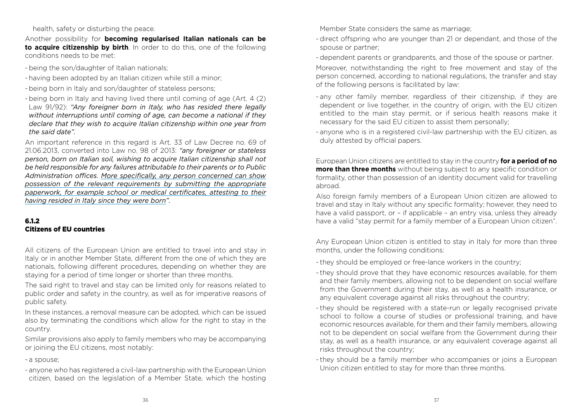#### health, safety or disturbing the peace.

Another possibility for **becoming regularised Italian nationals can be to acquire citizenship by birth**. In order to do this, one of the following conditions needs to be met:

- being the son/daughter of Italian nationals;
- having been adopted by an Italian citizen while still a minor;
- being born in Italy and son/daughter of stateless persons;
- being born in Italy and having lived there until coming of age (Art. 4 (2) Law 91/92): *"Any foreigner born in Italy, who has resided there legally without interruptions until coming of age, can become a national if they declare that they wish to acquire Italian citizenship within one year from the said date".*

An important reference in this regard is Art. 33 of Law Decree no. 69 of 21.06.2013, converted into Law no. 98 of 2013: *"any foreigner or stateless person, born on Italian soil, wishing to acquire Italian citizenship shall not be held responsible for any failures attributable to their parents or to Public Administration offices. More specifically, any person concerned can show possession of the relevant requirements by submitting the appropriate paperwork, for example school or medical certificates, attesting to their having resided in Italy since they were born".*

## 6.1.2 Citizens of EU countries

All citizens of the European Union are entitled to travel into and stay in Italy or in another Member State, different from the one of which they are nationals, following different procedures, depending on whether they are staying for a period of time longer or shorter than three months.

The said right to travel and stay can be limited only for reasons related to public order and safety in the country, as well as for imperative reasons of public safety.

In these instances, a removal measure can be adopted, which can be issued also by terminating the conditions which allow for the right to stay in the country.

Similar provisions also apply to family members who may be accompanying or joining the EU citizens, most notably:

#### - a spouse;

- anyone who has registered a civil-law partnership with the European Union citizen, based on the legislation of a Member State, which the hosting

Member State considers the same as marriage;

- direct offspring who are younger than 21 or dependant, and those of the spouse or partner;
- dependent parents or grandparents, and those of the spouse or partner.
- Moreover, notwithstanding the right to free movement and stay of the person concerned, according to national regulations, the transfer and stay of the following persons is facilitated by law:
- any other family member, regardless of their citizenship, if they are dependent or live together, in the country of origin, with the EU citizen entitled to the main stay permit, or if serious health reasons make it necessary for the said EU citizen to assist them personally;
- anyone who is in a registered civil-law partnership with the EU citizen, as duly attested by official papers.

European Union citizens are entitled to stay in the country **for a period of no more than three months** without being subject to any specific condition or formality, other than possession of an identity document valid for travelling abroad.

Also foreign family members of a European Union citizen are allowed to travel and stay in Italy without any specific formality; however, they need to have a valid passport, or – if applicable – an entry visa, unless they already have a valid "stay permit for a family member of a European Union citizen".

Any European Union citizen is entitled to stay in Italy for more than three months, under the following conditions:

- they should be employed or free-lance workers in the country;
- they should prove that they have economic resources available, for them and their family members, allowing not to be dependent on social welfare from the Government during their stay, as well as a health insurance, or any equivalent coverage against all risks throughout the country;
- they should be registered with a state-run or legally recognised private school to follow a course of studies or professional training, and have economic resources available, for them and their family members, allowing not to be dependent on social welfare from the Government during their stay, as well as a health insurance, or any equivalent coverage against all risks throughout the country;
- they should be a family member who accompanies or joins a European Union citizen entitled to stay for more than three months.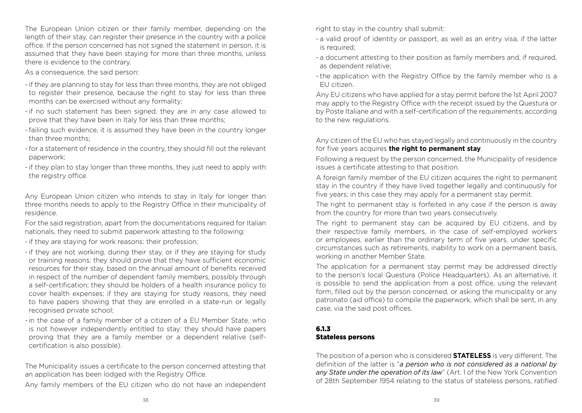The European Union citizen or their family member, depending on the length of their stay, can register their presence in the country with a police office. If the person concerned has not signed the statement in person, it is assumed that they have been staying for more than three months, unless there is evidence to the contrary.

As a consequence, the said person:

- if they are planning to stay for less than three months, they are not obliged to register their presence, because the right to stay for less than three months can be exercised without any formality;
- if no such statement has been signed, they are in any case allowed to prove that they have been in Italy for less than three months;
- failing such evidence, it is assumed they have been in the country longer than three months;
- for a statement of residence in the country, they should fill out the relevant paperwork;
- if they plan to stay longer than three months, they just need to apply with the registry office.

Any European Union citizen who intends to stay in Italy for longer than three months needs to apply to the Registry Office in their municipality of residence.

For the said registration, apart from the documentations required for Italian nationals, they need to submit paperwork attesting to the following:

- if they are staying for work reasons: their profession;
- if they are not working, during their stay, or if they are staying for study or training reasons: they should prove that they have sufficient economic resources for their stay, based on the annual amount of benefits received in respect of the number of dependent family members, possibly through a self-certification; they should be holders of a health insurance policy to cover health expenses; if they are staying for study reasons, they need to have papers showing that they are enrolled in a state-run or legally recognised private school;
- in the case of a family member of a citizen of a EU Member State, who is not however independently entitled to stay: they should have papers proving that they are a family member or a dependent relative (selfcertification is also possible).

The Municipality issues a certificate to the person concerned attesting that an application has been lodged with the Registry Office.

Any family members of the EU citizen who do not have an independent

right to stay in the country shall submit:

- a valid proof of identity or passport, as well as an entry visa, if the latter is required;
- a document attesting to their position as family members and, if required, as dependent relative;
- the application with the Registry Office by the family member who is a EU citizen.

Any EU citizens who have applied for a stay permit before the 1st April 2007 may apply to the Registry Office with the receipt issued by the Questura or by Poste Italiane and with a self-certification of the requirements, according to the new regulations.

Any citizen of the EU who has stayed legally and continuously in the country for five years acquires **the right to permanent stay**.

Following a request by the person concerned, the Municipality of residence issues a certificate attesting to that position.

A foreign family member of the EU citizen acquires the right to permanent stay in the country if they have lived together legally and continuously for five years; in this case they may apply for a permanent stay permit.

The right to permanent stay is forfeited in any case if the person is away from the country for more than two years consecutively.

The right to permanent stay can be acquired by EU citizens, and by their respective family members, in the case of self-employed workers or employees, earlier than the ordinary term of five years, under specific circumstances such as retirements, inability to work on a permanent basis, working in another Member State.

The application for a permanent stay permit may be addressed directly to the person's local Questura (Police Headquarters). As an alternative, it is possible to send the application from a post office, using the relevant form, filled out by the person concerned, or asking the municipality or any patronato (aid office) to compile the paperwork, which shall be sent, in any case, via the said post offices.

## 6.1.3 Stateless persons

The position of a person who is considered **STATELESS** is very different. The definition of the latter is "*a person who is not considered as a national by any State under the operation of its law*" (Art. 1 of the New York Convention of 28th September 1954 relating to the status of stateless persons, ratified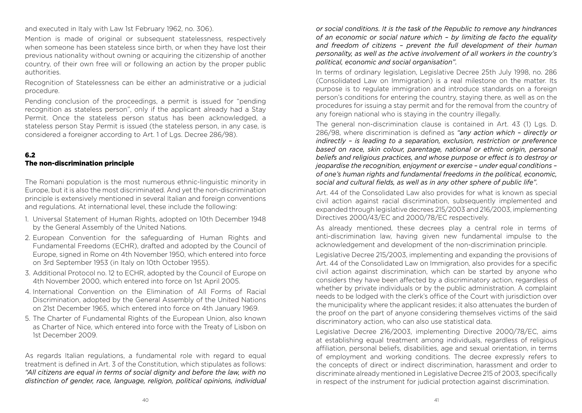and executed in Italy with Law 1st February 1962, no. 306).

Mention is made of original or subsequent statelessness, respectively when someone has been stateless since birth, or when they have lost their previous nationality without owning or acquiring the citizenship of another country, of their own free will or following an action by the proper public authorities.

Recognition of Statelessness can be either an administrative or a judicial procedure.

Pending conclusion of the proceedings, a permit is issued for "pending recognition as stateless person", only if the applicant already had a Stay Permit. Once the stateless person status has been acknowledged, a stateless person Stay Permit is issued (the stateless person, in any case, is considered a foreigner according to Art. 1 of Lgs. Decree 286/98).

## 6.2

#### The non-discrimination principle

The Romani population is the most numerous ethnic-linguistic minority in Europe, but it is also the most discriminated. And yet the non-discrimination principle is extensively mentioned in several Italian and foreign conventions and regulations. At international level, these include the following:

- 1. Universal Statement of Human Rights, adopted on 10th December 1948 by the General Assembly of the United Nations.
- 2. European Convention for the safeguarding of Human Rights and Fundamental Freedoms (ECHR), drafted and adopted by the Council of Europe, signed in Rome on 4th November 1950, which entered into force on 3rd September 1953 (in Italy on 10th October 1955).
- 3. Additional Protocol no. 12 to ECHR, adopted by the Council of Europe on 4th November 2000, which entered into force on 1st April 2005.
- 4. International Convention on the Elimination of All Forms of Racial Discrimination, adopted by the General Assembly of the United Nations on 21st December 1965, which entered into force on 4th January 1969.
- 5. The Charter of Fundamental Rights of the European Union, also known as Charter of Nice, which entered into force with the Treaty of Lisbon on 1st December 2009.

As regards Italian regulations, a fundamental role with regard to equal treatment is defined in Art. 3 of the Constitution, which stipulates as follows: *"All citizens are equal in terms of social dignity and before the law, with no distinction of gender, race, language, religion, political opinions, individual*  *or social conditions. It is the task of the Republic to remove any hindrances of an economic or social nature which – by limiting de facto the equality and freedom of citizens – prevent the full development of their human personality, as well as the active involvement of all workers in the country's political, economic and social organisation".*

In terms of ordinary legislation, Legislative Decree 25th July 1998, no. 286 (Consolidated Law on Immigration) is a real milestone on the matter. Its purpose is to regulate immigration and introduce standards on a foreign person's conditions for entering the country, staying there, as well as on the procedures for issuing a stay permit and for the removal from the country of any foreign national who is staving in the country illegally.

The general non-discrimination clause is contained in Art. 43 (1) Lgs. D. 286/98, where discrimination is defined as *"any action which – directly or indirectly – is leading to a separation, exclusion, restriction or preference based on race, skin colour, parentage, national or ethnic origin, personal beliefs and religious practices, and whose purpose or effect is to destroy or jeopardise the recognition, enjoyment or exercise – under equal conditions – of one's human rights and fundamental freedoms in the political, economic, social and cultural fields, as well as in any other sphere of public life".*

Art. 44 of the Consolidated Law also provides for what is known as special civil action against racial discrimination, subsequently implemented and expanded through legislative decrees 215/2003 and 216/2003, implementing Directives 2000/43/EC and 2000/78/EC respectively.

As already mentioned, these decrees play a central role in terms of anti-discrimination law, having given new fundamental impulse to the acknowledgement and development of the non-discrimination principle.

Legislative Decree 215/2003, implementing and expanding the provisions of Art. 44 of the Consolidated Law on Immigration, also provides for a specific civil action against discrimination, which can be started by anyone who considers they have been affected by a discriminatory action, regardless of whether by private individuals or by the public administration. A complaint needs to be lodged with the clerk's office of the Court with jurisdiction over the municipality where the applicant resides; it also attenuates the burden of the proof on the part of anyone considering themselves victims of the said discriminatory action, who can also use statistical data.

Legislative Decree 216/2003, implementing Directive 2000/78/EC, aims at establishing equal treatment among individuals, regardless of religious affiliation, personal beliefs, disabilities, age and sexual orientation, in terms of employment and working conditions. The decree expressly refers to the concepts of direct or indirect discrimination, harassment and order to discriminate already mentioned in Legislative Decree 215 of 2003, specifically in respect of the instrument for judicial protection against discrimination.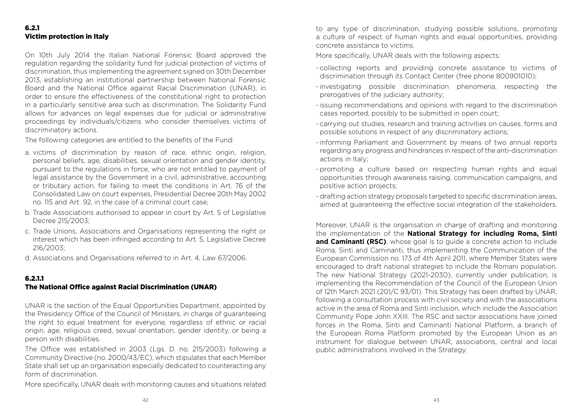## 6.2.1 Victim protection in Italy

On 10th July 2014 the Italian National Forensic Board approved the regulation regarding the solidarity fund for judicial protection of victims of discrimination, thus implementing the agreement signed on 30th December 2013, establishing an institutional partnership between National Forensic Board and the National Office against Racial Discrimination (UNAR), in order to ensure the effectiveness of the constitutional right to protection in a particularly sensitive area such as discrimination. The Solidarity Fund allows for advances on legal expenses due for judicial or administrative proceedings by individuals/citizens who consider themselves victims of discriminatory actions.

The following categories are entitled to the benefits of the Fund:

- a. victims of discrimination by reason of race, ethnic origin, religion, personal beliefs, age, disabilities, sexual orientation and gender identity, pursuant to the regulations in force, who are not entitled to payment of legal assistance by the Government in a civil, administrative, accounting or tributary action, for failing to meet the conditions in Art. 76 of the Consolidated Law on court expenses, Presidential Decree 20th May 2002 no. 115 and Art. 92, in the case of a criminal court case;
- b. Trade Associations authorised to appear in court by Art. 5 of Legislative Decree 215/2003;
- c. Trade Unions, Associations and Organisations representing the right or interest which has been infringed according to Art. 5, Legislative Decree 216/2003;
- d. Associations and Organisations referred to in Art. 4, Law 67/2006.

#### 6.2.1.1

## The National Office against Racial Discrimination (UNAR)

UNAR is the section of the Equal Opportunities Department, appointed by the Presidency Office of the Council of Ministers, in charge of guaranteeing the right to equal treatment for everyone, regardless of ethnic or racial origin, age, religious creed, sexual orientation, gender identity, or being a person with disabilities.

The Office was established in 2003 (Lgs. D. no. 215/2003) following a Community Directive (no. 2000/43/EC), which stipulates that each Member State shall set up an organisation especially dedicated to counteracting any form of discrimination.

More specifically, UNAR deals with monitoring causes and situations related

to any type of discrimination, studying possible solutions, promoting a culture of respect of human rights and equal opportunities, providing concrete assistance to victims.

More specifically, UNAR deals with the following aspects:

- collecting reports and providing concrete assistance to victims of discrimination through its Contact Center (free phone 800901010);
- investigating possible discrimination phenomena, respecting the prerogatives of the judiciary authority;
- issuing recommendations and opinions with regard to the discrimination cases reported, possibly to be submitted in open court;
- carrying out studies, research and training activities on causes, forms and possible solutions in respect of any discriminatory actions;
- informing Parliament and Government by means of two annual reports regarding any progress and hindrances in respect of the anti-discrimination actions in Italy;
- promoting a culture based on respecting human rights and equal opportunities through awareness raising, communication campaigns, and positive action projects;
- drafting action strategy proposals targeted to specific discrimination areas, aimed at guaranteeing the effective social integration of the stakeholders.

Moreover, UNAR is the organisation in charge of drafting and monitoring the implementation of the **National Strategy for including Roma, Sinti and Caminanti (RSC)**, whose goal is to guide a concrete action to include Roma, Sinti and Caminanti, thus implementing the Communication of the European Commission no. 173 of 4th April 2011, where Member States were encouraged to draft national strategies to include the Romani population. The new National Strategy (2021-2030), currently under publication, is implementing the Recommendation of the Council of the European Union of 12th March 2021 (201/C 93/01). This Strategy has been drafted by UNAR, following a consultation process with civil society and with the associations active in the area of Roma and Sinti inclusion, which include the Association Community Pope John XXIII. The RSC and sector associations have joined forces in the Roma, Sinti and Caminanti National Platform, a branch of the European Roma Platform promoted by the European Union as an instrument for dialogue between UNAR, associations, central and local public administrations involved in the Strategy.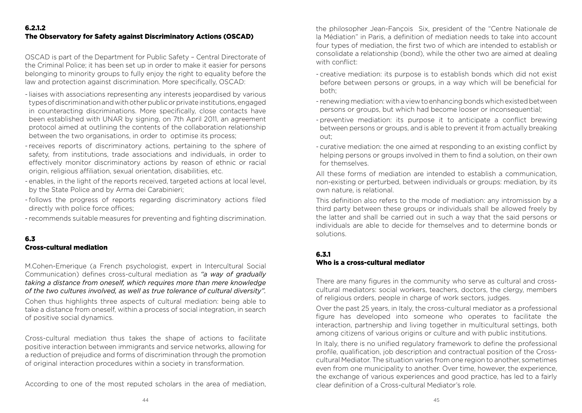OSCAD is part of the Department for Public Safety – Central Directorate of the Criminal Police; it has been set up in order to make it easier for persons belonging to minority groups to fully enjoy the right to equality before the law and protection against discrimination. More specifically, OSCAD:

- liaises with associations representing any interests jeopardised by various types of discrimination and with other public or private institutions, engaged in counteracting discriminations. More specifically, close contacts have been established with UNAR by signing, on 7th April 2011, an agreement protocol aimed at outlining the contents of the collaboration relationship between the two organisations, in order to optimise its process;
- receives reports of discriminatory actions, pertaining to the sphere of safety, from institutions, trade associations and individuals, in order to effectively monitor discriminatory actions by reason of ethnic or racial origin, religious affiliation, sexual orientation, disabilities, etc.
- enables, in the light of the reports received, targeted actions at local level, by the State Police and by Arma dei Carabinieri;
- follows the progress of reports regarding discriminatory actions filed directly with police force offices;
- recommends suitable measures for preventing and fighting discrimination.

## 6.3 Cross-cultural mediation

M.Cohen-Emerique (a French psychologist, expert in Intercultural Social Communication) defines cross-cultural mediation as *"a way of gradually taking a distance from oneself, which requires more than mere knowledge of the two cultures involved, as well as true tolerance of cultural diversity".*

Cohen thus highlights three aspects of cultural mediation: being able to take a distance from oneself, within a process of social integration, in search of positive social dynamics.

Cross-cultural mediation thus takes the shape of actions to facilitate positive interaction between immigrants and service networks, allowing for a reduction of prejudice and forms of discrimination through the promotion of original interaction procedures within a society in transformation.

According to one of the most reputed scholars in the area of mediation,

the philosopher Jean-Fançois Six, president of the "Centre Nationale de la Médiation" in Paris, a definition of mediation needs to take into account four types of mediation, the first two of which are intended to establish or consolidate a relationship (bond), while the other two are aimed at dealing with conflict:

- creative mediation: its purpose is to establish bonds which did not exist before between persons or groups, in a way which will be beneficial for both;
- renewing mediation: with a view to enhancing bonds which existed between persons or groups, but which had become looser or inconsequential;
- preventive mediation: its purpose it to anticipate a conflict brewing between persons or groups, and is able to prevent it from actually breaking out;
- curative mediation: the one aimed at responding to an existing conflict by helping persons or groups involved in them to find a solution, on their own for themselves.

All these forms of mediation are intended to establish a communication, non-existing or perturbed, between individuals or groups: mediation, by its own nature, is relational.

This definition also refers to the mode of mediation: any intromission by a third party between these groups or individuals shall be allowed freely by the latter and shall be carried out in such a way that the said persons or individuals are able to decide for themselves and to determine bonds or solutions.

## 6.3.1

## Who is a cross-cultural mediator

There are many figures in the community who serve as cultural and crosscultural mediators: social workers, teachers, doctors, the clergy, members of religious orders, people in charge of work sectors, judges.

Over the past 25 years, in Italy, the cross-cultural mediator as a professional figure has developed into someone who operates to facilitate the interaction, partnership and living together in multicultural settings, both among citizens of various origins or culture and with public institutions.

In Italy, there is no unified regulatory framework to define the professional profile, qualification, job description and contractual position of the Crosscultural Mediator. The situation varies from one region to another, sometimes even from one municipality to another. Over time, however, the experience, the exchange of various experiences and good practice, has led to a fairly clear definition of a Cross-cultural Mediator's role.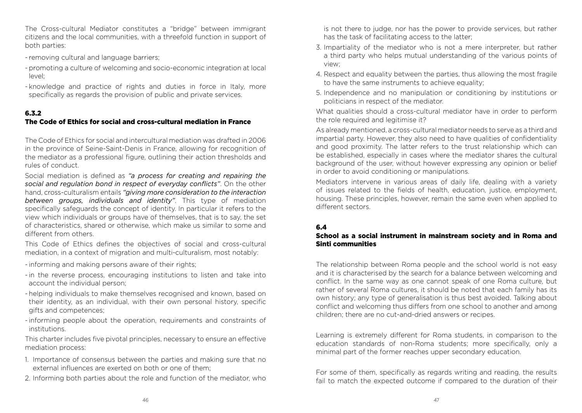The Cross-cultural Mediator constitutes a "bridge" between immigrant citizens and the local communities, with a threefold function in support of both parties:

- removing cultural and language barriers;
- promoting a culture of welcoming and socio-economic integration at local  $|P(X|)$
- knowledge and practice of rights and duties in force in Italy, more specifically as regards the provision of public and private services.

## 6.3.2

## The Code of Ethics for social and cross-cultural mediation in France

The Code of Ethics for social and intercultural mediation was drafted in 2006 in the province of Seine-Saint-Denis in France, allowing for recognition of the mediator as a professional figure, outlining their action thresholds and rules of conduct.

Social mediation is defined as *"a process for creating and repairing the social and regulation bond in respect of everyday conflicts"*. On the other hand, cross-culturalism entails *"giving more consideration to the interaction between groups, individuals and identity"*. This type of mediation specifically safeguards the concept of identity. In particular it refers to the view which individuals or groups have of themselves, that is to say, the set of characteristics, shared or otherwise, which make us similar to some and different from others.

This Code of Ethics defines the objectives of social and cross-cultural mediation, in a context of migration and multi-culturalism, most notably:

- informing and making persons aware of their rights;
- in the reverse process, encouraging institutions to listen and take into account the individual person;
- helping individuals to make themselves recognised and known, based on their identity, as an individual, with their own personal history, specific gifts and competences;
- informing people about the operation, requirements and constraints of institutions.

This charter includes five pivotal principles, necessary to ensure an effective mediation process:

- 1. Importance of consensus between the parties and making sure that no external influences are exerted on both or one of them;
- 2. Informing both parties about the role and function of the mediator, who

is not there to judge, nor has the power to provide services, but rather has the task of facilitating access to the latter;

- 3. Impartiality of the mediator who is not a mere interpreter, but rather a third party who helps mutual understanding of the various points of view;
- 4. Respect and equality between the parties, thus allowing the most fragile to have the same instruments to achieve equality;
- 5. Independence and no manipulation or conditioning by institutions or politicians in respect of the mediator.

What qualities should a cross-cultural mediator have in order to perform the role required and legitimise it?

As already mentioned, a cross-cultural mediator needs to serve as a third and impartial party. However, they also need to have qualities of confidentiality and good proximity. The latter refers to the trust relationship which can be established, especially in cases where the mediator shares the cultural background of the user, without however expressing any opinion or belief in order to avoid conditioning or manipulations.

Mediators intervene in various areas of daily life, dealing with a variety of issues related to the fields of health, education, justice, employment, housing. These principles, however, remain the same even when applied to different sectors.

## 6.4

#### School as a social instrument in mainstream society and in Roma and Sinti communities

The relationship between Roma people and the school world is not easy and it is characterised by the search for a balance between welcoming and conflict. In the same way as one cannot speak of one Roma culture, but rather of several Roma cultures, it should be noted that each family has its own history; any type of generalisation is thus best avoided. Talking about conflict and welcoming thus differs from one school to another and among children; there are no cut-and-dried answers or recipes.

Learning is extremely different for Roma students, in comparison to the education standards of non-Roma students; more specifically, only a minimal part of the former reaches upper secondary education.

For some of them, specifically as regards writing and reading, the results fail to match the expected outcome if compared to the duration of their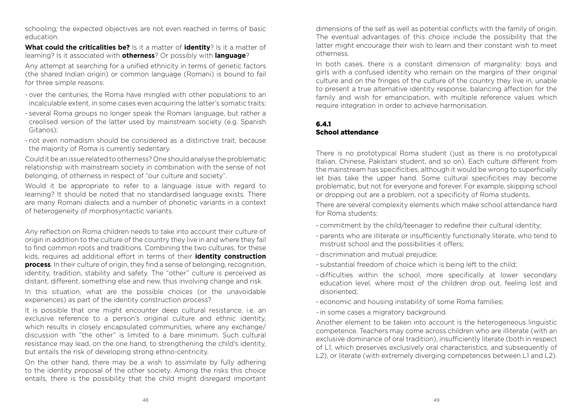schooling; the expected objectives are not even reached in terms of basic education.

**What could the criticalities be?** Is it a matter of **identity**? Is it a matter of learning? Is it associated with **otherness**? Or possibly with **language**?

Any attempt at searching for a unified ethnicity in terms of genetic factors (the shared Indian origin) or common language (Romani) is bound to fail for three simple reasons:

- over the centuries, the Roma have mingled with other populations to an incalculable extent, in some cases even acquiring the latter's somatic traits;
- several Roma groups no longer speak the Romani language, but rather a creolised version of the latter used by mainstream society (e.g. Spanish Gitanos);
- not even nomadism should be considered as a distinctive trait, because the majority of Roma is currently sedentary.

Could it be an issue related to otherness? One should analyse the problematic relationship with mainstream society in combination with the sense of not belonging, of otherness in respect of "our culture and society".

Would it be appropriate to refer to a language issue with regard to learning? It should be noted that no standardised language exists. There are many Romani dialects and a number of phonetic variants in a context of heterogeneity of morphosyntactic variants.

Any reflection on Roma children needs to take into account their culture of origin in addition to the culture of the country they live in and where they fail to find common roots and traditions. Combining the two cultures, for these kids, requires ad additional effort in terms of their **identity construction process**. In their culture of origin, they find a sense of belonging, recognition, identity, tradition, stability and safety. The "other" culture is perceived as distant, different, something else and new, thus involving change and risk.

In this situation, what are the possible choices (or the unavoidable experiences) as part of the identity construction process?

It is possible that one might encounter deep cultural resistance, i.e. an exclusive reference to a person's original culture and ethnic identity, which results in closely encapsulated communities, where any exchange/ discussion with "the other" is limited to a bare minimum. Such cultural resistance may lead, on the one hand, to strengthening the child's identity, but entails the risk of developing strong ethno-centricity.

On the other hand, there may be a wish to assimilate by fully adhering to the identity proposal of the other society. Among the risks this choice entails, there is the possibility that the child might disregard important

dimensions of the self as well as potential conflicts with the family of origin. The eventual advantages of this choice include the possibility that the latter might encourage their wish to learn and their constant wish to meet otherness.

In both cases, there is a constant dimension of marginality: boys and girls with a confused identity who remain on the margins of their original culture and on the fringes of the culture of the country they live in, unable to present a true alternative identity response, balancing affection for the family and wish for emancipation, with multiple reference values which require integration in order to achieve harmonisation.

## 6.4.1 School attendance

There is no prototypical Roma student (just as there is no prototypical Italian, Chinese, Pakistani student, and so on). Each culture different from the mainstream has specificities, although it would be wrong to superficially let bias take the upper hand. Some cultural specificities may become problematic, but not for everyone and forever. For example, skipping school or dropping out are a problem, not a specificity of Roma students.

There are several complexity elements which make school attendance hard for Roma students:

- commitment by the child/teenager to redefine their cultural identity;
- parents who are illiterate or insufficiently functionally literate, who tend to mistrust school and the possibilities it offers;
- discrimination and mutual prejudice;
- substantial freedom of choice which is being left to the child;
- difficulties within the school, more specifically at lower secondary education level, where most of the children drop out, feeling lost and disoriented;
- economic and housing instability of some Roma families;
- in some cases a migratory background.

Another element to be taken into account is the heterogeneous linguistic competence. Teachers may come across children who are illiterate (with an exclusive dominance of oral tradition), insufficiently literate (both in respect of L1, which preserves exclusively oral characteristics, and subsequently of L2), or literate (with extremely diverging competences between L1 and L2).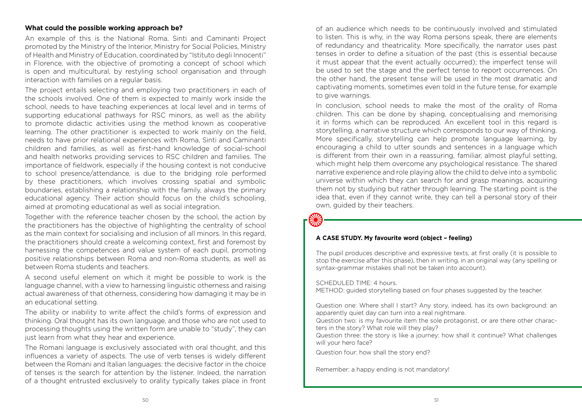#### **What could the possible working approach be?**

An example of this is the National Roma, Sinti and Caminanti Project promoted by the Ministry of the Interior, Ministry for Social Policies, Ministry of Health and Ministry of Education, coordinated by "Istituto degli Innocenti" in Florence, with the objective of promoting a concept of school which is open and multicultural, by restyling school organisation and through interaction with families on a regular basis.

The project entails selecting and employing two practitioners in each of the schools involved. One of them is expected to mainly work inside the school, needs to have teaching experiences at local level and in terms of supporting educational pathways for RSC minors, as well as the ability to promote didactic activities using the method known as cooperative learning. The other practitioner is expected to work mainly on the field, needs to have prior relational experiences with Roma, Sinti and Caminanti children and families, as well as first-hand knowledge of social-school and health networks providing services to RSC children and families. The importance of fieldwork, especially if the housing context is not conducive to school presence/attendance, is due to the bridging role performed by these practitioners, which involves crossing spatial and symbolic boundaries, establishing a relationship with the family, always the primary educational agency. Their action should focus on the child's schooling, aimed at promoting educational as well as social integration.

Together with the reference teacher chosen by the school, the action by the practitioners has the objective of highlighting the centrality of school as the main context for socialising and inclusion of all minors. In this regard, the practitioners should create a welcoming context, first and foremost by harnessing the competences and value system of each pupil, promoting positive relationships between Roma and non-Roma students, as well as between Roma students and teachers.

A second useful element on which it might be possible to work is the language channel, with a view to harnessing linguistic otherness and raising actual awareness of that otherness, considering how damaging it may be in an educational setting.

The ability or inability to write affect the child's forms of expression and thinking. Oral thought has its own language, and those who are not used to processing thoughts using the written form are unable to "study", they can just learn from what they hear and experience.

The Romani language is exclusively associated with oral thought, and this influences a variety of aspects. The use of verb tenses is widely different between the Romani and Italian languages: the decisive factor in the choice of tenses is the search for attention by the listener. Indeed, the narration of a thought entrusted exclusively to orality typically takes place in front

of an audience which needs to be continuously involved and stimulated to listen. This is why, in the way Roma persons speak, there are elements of redundancy and theatricality. More specifically, the narrator uses past tenses in order to define a situation of the past (this is essential because it must appear that the event actually occurred); the imperfect tense will be used to set the stage and the perfect tense to report occurrences. On the other hand, the present tense will be used in the most dramatic and captivating moments, sometimes even told in the future tense, for example to give warnings.

In conclusion, school needs to make the most of the orality of Roma children. This can be done by shaping, conceptualising and memorising it in forms which can be reproduced. An excellent tool in this regard is storytelling, a narrative structure which corresponds to our way of thinking. More specifically, storytelling can help promote language learning, by encouraging a child to utter sounds and sentences in a language which is different from their own in a reassuring, familiar, almost playful setting, which might help them overcome any psychological resistance. The shared narrative experience and role playing allow the child to delve into a symbolic universe within which they can search for and grasp meanings, acquiring them not by studying but rather through learning. The starting point is the idea that, even if they cannot write, they can tell a personal story of their own, guided by their teachers.

#### **A CASE STUDY. My favourite word (object – feeling)**

The pupil produces descriptive and expressive texts, at first orally (it is possible to stop the exercise after this phase), then in writing, in an original way (any spelling or syntax-grammar mistakes shall not be taken into account).

#### SCHEDULED TIME: 4 hours.

METHOD: guided storytelling based on four phases suggested by the teacher.

Question one: Where shall I start? Any story, indeed, has its own background: an apparently quiet day can turn into a real nightmare.

Question two: is my favourite item the sole protagonist, or are there other characters in the story? What role will they play?

Question three: the story is like a journey: how shall it continue? What challenges will your hero face?

Question four: how shall the story end?

Remember: a happy ending is not mandatory!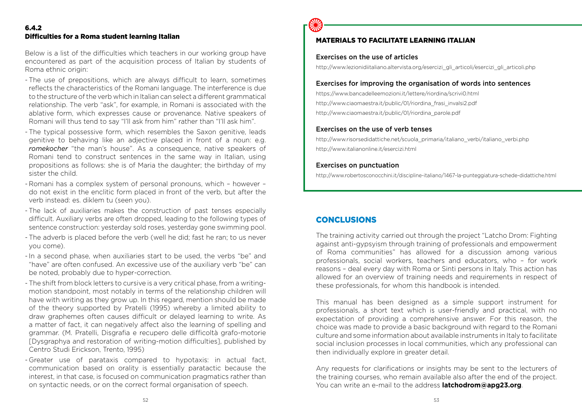## 6.4.2 Difficulties for a Roma student learning Italian

Below is a list of the difficulties which teachers in our working group have encountered as part of the acquisition process of Italian by students of Roma ethnic origin:

- The use of prepositions, which are always difficult to learn, sometimes reflects the characteristics of the Romani language. The interference is due to the structure of the verb which in Italian can select a different grammatical relationship. The verb "ask", for example, in Romani is associated with the ablative form, which expresses cause or provenance. Native speakers of Romani will thus tend to say "l'll ask from him" rather than "I'll ask him".
- The typical possessive form, which resembles the Saxon genitive, leads genitive to behaving like an adjective placed in front of a noun: e.g. *romekocher* "the man's house". As a consequence, native speakers of Romani tend to construct sentences in the same way in Italian, using propositions as follows: she is of Maria the daughter; the birthday of my sister the child.
- Romani has a complex system of personal pronouns, which however do not exist in the enclitic form placed in front of the verb, but after the verb instead: es. diklem tu (seen you).
- The lack of auxiliaries makes the construction of past tenses especially difficult. Auxiliary verbs are often dropped, leading to the following types of sentence construction: yesterday sold roses, yesterday gone swimming pool.
- The adverb is placed before the verb (well he did; fast he ran; to us never you come).
- In a second phase, when auxiliaries start to be used, the verbs "be" and "have" are often confused. An excessive use of the auxiliary verb "be" can be noted, probably due to hyper-correction.
- The shift from block letters to cursive is a very critical phase, from a writingmotion standpoint, most notably in terms of the relationship children will have with writing as they grow up. In this regard, mention should be made of the theory supported by Pratelli (1995) whereby a limited ability to draw graphemes often causes difficult or delayed learning to write. As a matter of fact, it can negatively affect also the learning of spelling and grammar. (M. Pratelli, Disgrafia e recupero delle difficoltà grafo-motorie [Dysgraphya and restoration of writing-motion difficulties], published by Centro Studi Erickson, Trento, 1995)
- Greater use of parataxis compared to hypotaxis: in actual fact, communication based on orality is essentially paratactic because the interest, in that case, is focused on communication pragmatics rather than on syntactic needs, or on the correct formal organisation of speech.



## MATERIALS TO FACILITATE LEARNING ITALIAN

## Exercises on the use of articles

http://www.lezionidiitaliano.altervista.org/esercizi\_gli\_articoli/esercizi\_gli\_articoli.php

## Exercises for improving the organisation of words into sentences

https://www.bancadelleemozioni.it/lettere/riordina/scrivi0.html http://www.ciaomaestra.it/public/01/riordina\_frasi\_invalsi2.pdf http://www.ciaomaestra.it/public/01/riordina\_parole.pdf

## Exercises on the use of verb tenses

http://www.risorsedidattiche.net/scuola\_primaria/italiano\_verbi/italiano\_verbi.php http://www.italianonline.it/esercizi.html

## Exercises on punctuation

http://www.robertosconocchini.it/discipline-italiano/1467-la-punteggiatura-schede-didattiche.html

## **CONCLUSIONS**

The training activity carried out through the project "Latcho Drom: Fighting against anti-gypsyism through training of professionals and empowerment of Roma communities" has allowed for a discussion among various professionals, social workers, teachers and educators, who – for work reasons – deal every day with Roma or Sinti persons in Italy. This action has allowed for an overview of training needs and requirements in respect of these professionals, for whom this handbook is intended.

This manual has been designed as a simple support instrument for professionals, a short text which is user-friendly and practical, with no expectation of providing a comprehensive answer. For this reason, the choice was made to provide a basic background with regard to the Romani culture and some information about available instruments in Italy to facilitate social inclusion processes in local communities, which any professional can then individually explore in greater detail.

Any requests for clarifications or insights may be sent to the lecturers of the training courses, who remain available also after the end of the project. You can write an e-mail to the address **latchodrom@apg23.org**.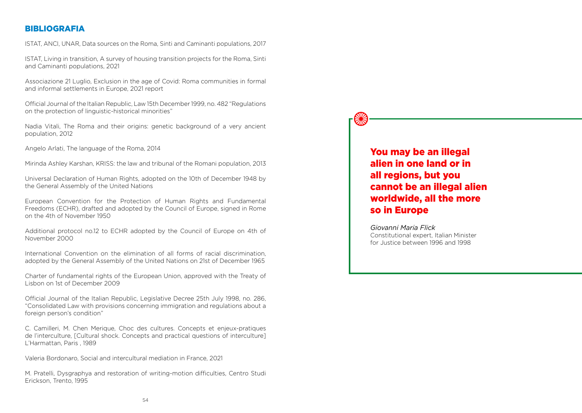## **BIBLIOGRAFIA**

ISTAT, ANCI, UNAR, Data sources on the Roma, Sinti and Caminanti populations, 2017

ISTAT, Living in transition, A survey of housing transition projects for the Roma, Sinti and Caminanti populations, 2021

Associazione 21 Luglio, Exclusion in the age of Covid: Roma communities in formal and informal settlements in Europe, 2021 report

Official Journal of the Italian Republic, Law 15th December 1999, no. 482 "Regulations on the protection of linguistic-historical minorities"

Nadia Vitali, The Roma and their origins: genetic background of a very ancient population, 2012

Angelo Arlati, The language of the Roma, 2014

Mirinda Ashley Karshan, KRISS: the law and tribunal of the Romani population, 2013

Universal Declaration of Human Rights, adopted on the 10th of December 1948 by the General Assembly of the United Nations

European Convention for the Protection of Human Rights and Fundamental Freedoms (ECHR), drafted and adopted by the Council of Europe, signed in Rome on the 4th of November 1950

Additional protocol no.12 to ECHR adopted by the Council of Europe on 4th of November 2000

International Convention on the elimination of all forms of racial discrimination, adopted by the General Assembly of the United Nations on 21st of December 1965

Charter of fundamental rights of the European Union, approved with the Treaty of Lisbon on 1st of December 2009

Official Journal of the Italian Republic, Legislative Decree 25th July 1998, no. 286, "Consolidated Law with provisions concerning immigration and regulations about a foreign person's condition"

C. Camilleri, M. Chen Merique, Choc des cultures. Concepts et enjeux-pratiques de l'interculture, [Cultural shock. Concepts and practical questions of interculture] L'Harmattan, Paris , 1989

Valeria Bordonaro, Social and intercultural mediation in France, 2021

M. Pratelli, Dysgraphya and restoration of writing-motion difficulties, Centro Studi Erickson, Trento, 1995

You may be an illegal alien in one land or in all regions, but you cannot be an illegal alien worldwide, all the more so in Europe

*Giovanni Maria Flick*  Constitutional expert, Italian Minister for Justice between 1996 and 1998